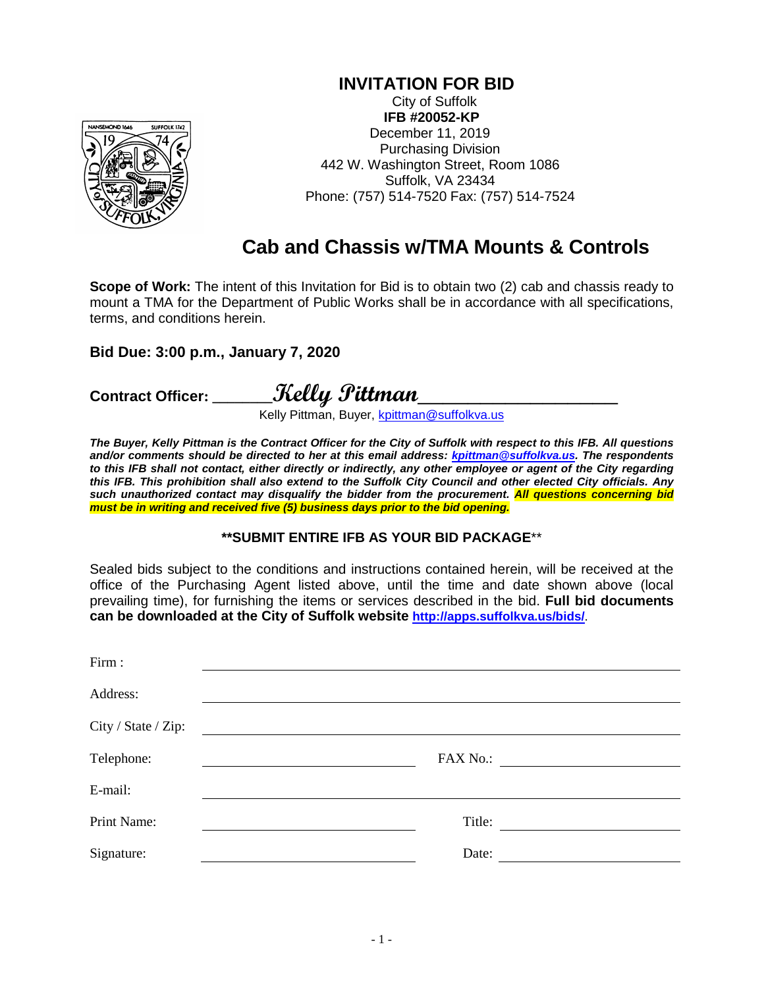### **INVITATION FOR BID**



City of Suffolk **IFB #20052-KP** December 11, 2019 Purchasing Division 442 W. Washington Street, Room 1086 Suffolk, VA 23434 Phone: (757) 514-7520 Fax: (757) 514-7524

# **Cab and Chassis w/TMA Mounts & Controls**

**Scope of Work:** The intent of this Invitation for Bid is to obtain two (2) cab and chassis ready to mount a TMA for the Department of Public Works shall be in accordance with all specifications, terms, and conditions herein.

#### **Bid Due: 3:00 p.m., January 7, 2020**

# **Contract Officer: \_\_\_\_\_\_\_\_Kelly Pittman\_\_\_\_\_\_\_\_\_\_\_\_\_\_\_\_**

Kelly Pittman, Buyer, <u>kpittman@suffolkva.us</u>

*The Buyer, Kelly Pittman is the Contract Officer for the City of Suffolk with respect to this IFB. All questions and/or comments should be directed to her at this email address: [kpittman@suffolkva.us.](mailto:kpittman@suffolkva.us) The respondents*  to this IFB shall not contact, either directly or indirectly, any other employee or agent of the City regarding *this IFB. This prohibition shall also extend to the Suffolk City Council and other elected City officials. Any such unauthorized contact may disqualify the bidder from the procurement. All questions concerning bid must be in writing and received five (5) business days prior to the bid opening.*

#### **\*\*SUBMIT ENTIRE IFB AS YOUR BID PACKAGE**\*\*

Sealed bids subject to the conditions and instructions contained herein, will be received at the office of the Purchasing Agent listed above, until the time and date shown above (local prevailing time), for furnishing the items or services described in the bid. **Full bid documents can be downloaded at the City of Suffolk website<http://apps.suffolkva.us/bids/>**.

| Firm:               |          |                                         |
|---------------------|----------|-----------------------------------------|
| Address:            |          |                                         |
| City / State / Zip: |          |                                         |
| Telephone:          | FAX No.: |                                         |
| E-mail:             |          |                                         |
| Print Name:         | Title:   | <u> 1989 - Andrea Station Barbara (</u> |
| Signature:          | Date:    |                                         |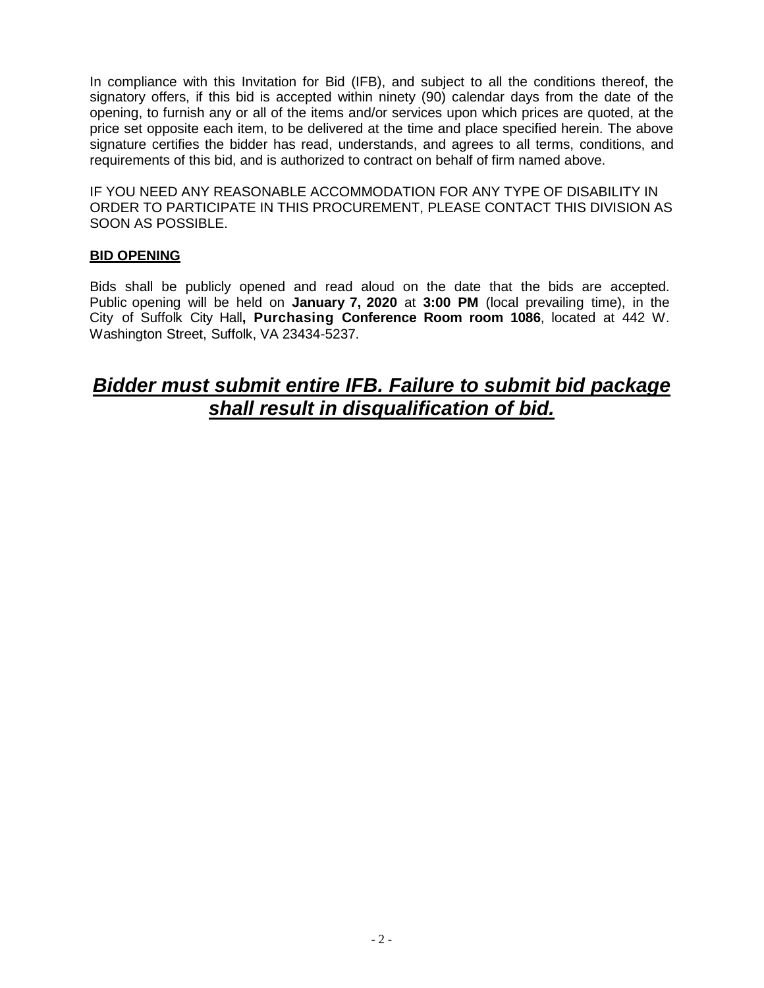In compliance with this Invitation for Bid (IFB), and subject to all the conditions thereof, the signatory offers, if this bid is accepted within ninety (90) calendar days from the date of the opening, to furnish any or all of the items and/or services upon which prices are quoted, at the price set opposite each item, to be delivered at the time and place specified herein. The above signature certifies the bidder has read, understands, and agrees to all terms, conditions, and requirements of this bid, and is authorized to contract on behalf of firm named above.

IF YOU NEED ANY REASONABLE ACCOMMODATION FOR ANY TYPE OF DISABILITY IN ORDER TO PARTICIPATE IN THIS PROCUREMENT, PLEASE CONTACT THIS DIVISION AS SOON AS POSSIBLE.

#### **BID OPENING**

Bids shall be publicly opened and read aloud on the date that the bids are accepted. Public opening will be held on **January 7, 2020** at **3:00 PM** (local prevailing time), in the City of Suffolk City Hall**, Purchasing Conference Room room 1086**, located at 442 W. Washington Street, Suffolk, VA 23434-5237.

# *Bidder must submit entire IFB. Failure to submit bid package shall result in disqualification of bid.*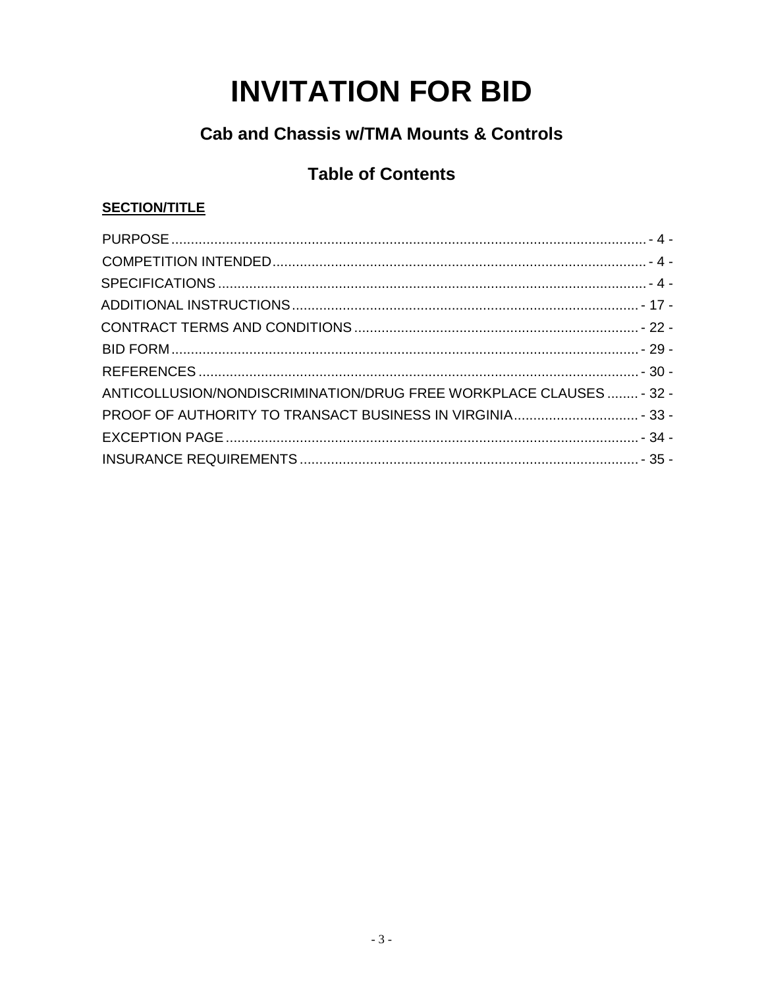# **INVITATION FOR BID**

# **Cab and Chassis w/TMA Mounts & Controls**

# **Table of Contents**

## **SECTION/TITLE**

| ANTICOLLUSION/NONDISCRIMINATION/DRUG FREE WORKPLACE CLAUSES  - 32 - |  |
|---------------------------------------------------------------------|--|
|                                                                     |  |
|                                                                     |  |
|                                                                     |  |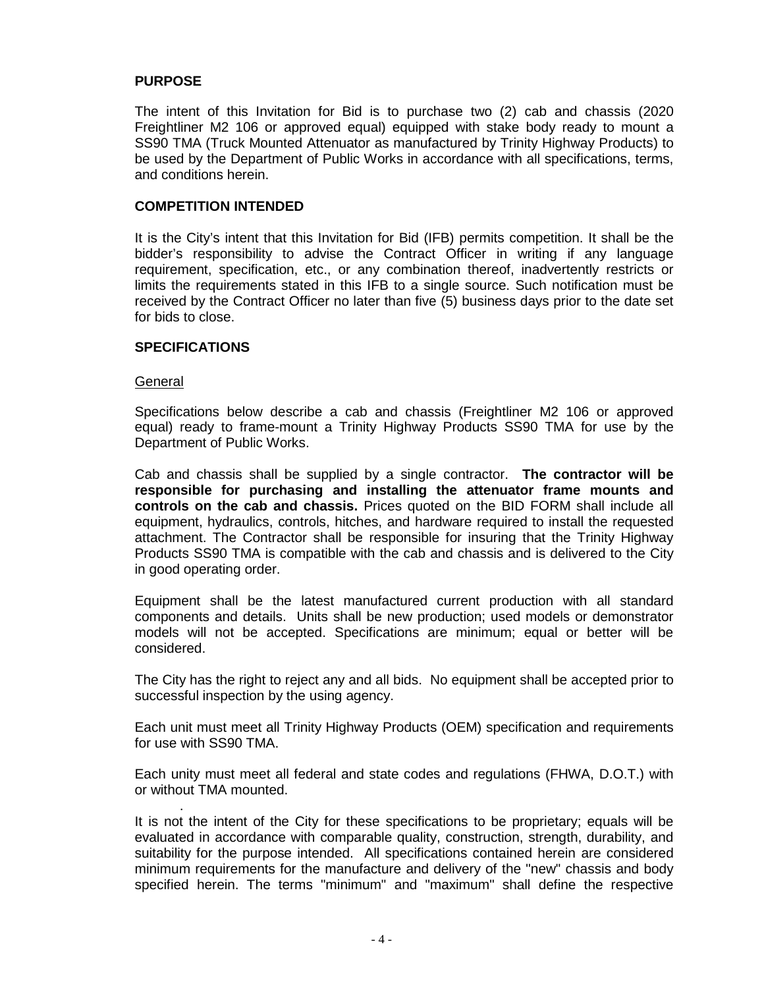#### <span id="page-3-0"></span>**PURPOSE**

The intent of this Invitation for Bid is to purchase two (2) cab and chassis (2020 Freightliner M2 106 or approved equal) equipped with stake body ready to mount a SS90 TMA (Truck Mounted Attenuator as manufactured by Trinity Highway Products) to be used by the Department of Public Works in accordance with all specifications, terms, and conditions herein.

#### **COMPETITION INTENDED**

It is the City's intent that this Invitation for Bid (IFB) permits competition. It shall be the bidder's responsibility to advise the Contract Officer in writing if any language requirement, specification, etc., or any combination thereof, inadvertently restricts or limits the requirements stated in this IFB to a single source. Such notification must be received by the Contract Officer no later than five (5) business days prior to the date set for bids to close.

#### **SPECIFICATIONS**

#### General

Specifications below describe a cab and chassis (Freightliner M2 106 or approved equal) ready to frame-mount a Trinity Highway Products SS90 TMA for use by the Department of Public Works.

Cab and chassis shall be supplied by a single contractor. **The contractor will be responsible for purchasing and installing the attenuator frame mounts and controls on the cab and chassis.** Prices quoted on the BID FORM shall include all equipment, hydraulics, controls, hitches, and hardware required to install the requested attachment. The Contractor shall be responsible for insuring that the Trinity Highway Products SS90 TMA is compatible with the cab and chassis and is delivered to the City in good operating order.

Equipment shall be the latest manufactured current production with all standard components and details. Units shall be new production; used models or demonstrator models will not be accepted. Specifications are minimum; equal or better will be considered.

The City has the right to reject any and all bids. No equipment shall be accepted prior to successful inspection by the using agency.

Each unit must meet all Trinity Highway Products (OEM) specification and requirements for use with SS90 TMA.

Each unity must meet all federal and state codes and regulations (FHWA, D.O.T.) with or without TMA mounted.

. It is not the intent of the City for these specifications to be proprietary; equals will be evaluated in accordance with comparable quality, construction, strength, durability, and suitability for the purpose intended. All specifications contained herein are considered minimum requirements for the manufacture and delivery of the "new" chassis and body specified herein. The terms "minimum" and "maximum" shall define the respective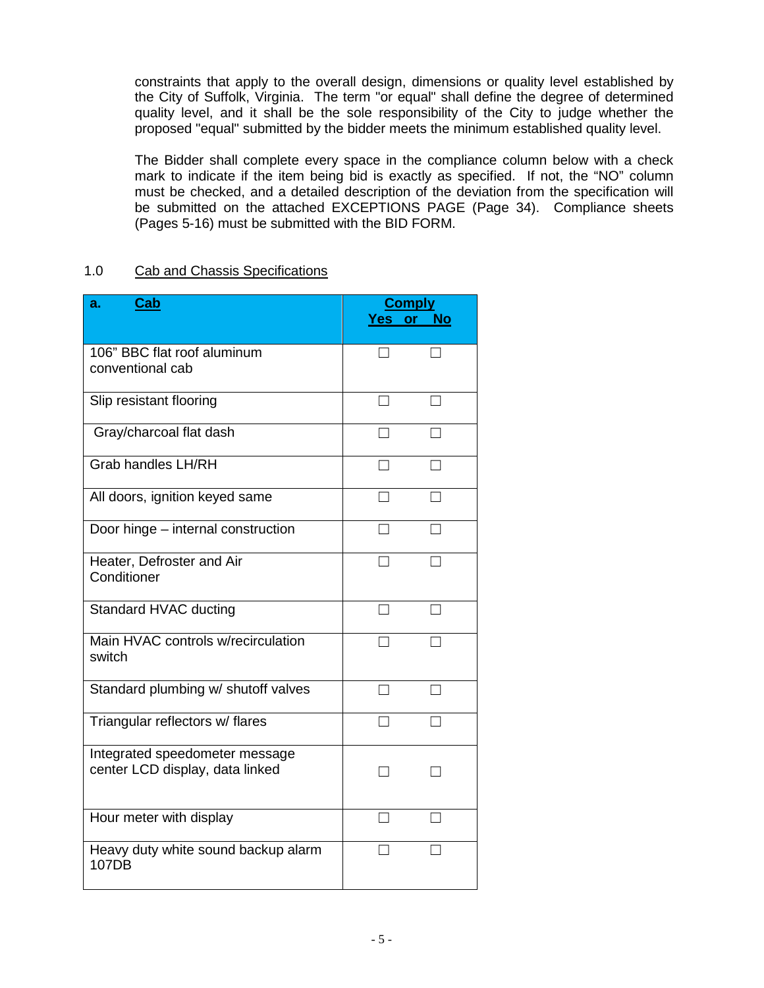constraints that apply to the overall design, dimensions or quality level established by the City of Suffolk, Virginia. The term "or equal" shall define the degree of determined quality level, and it shall be the sole responsibility of the City to judge whether the proposed "equal" submitted by the bidder meets the minimum established quality level.

The Bidder shall complete every space in the compliance column below with a check mark to indicate if the item being bid is exactly as specified. If not, the "NO" column must be checked, and a detailed description of the deviation from the specification will be submitted on the attached EXCEPTIONS PAGE (Page 34). Compliance sheets (Pages 5-16) must be submitted with the BID FORM.

#### 1.0 Cab and Chassis Specifications

| Cab<br>a.                                                         | <b>Comply</b><br>Yes or No |  |
|-------------------------------------------------------------------|----------------------------|--|
| 106" BBC flat roof aluminum<br>conventional cab                   |                            |  |
| Slip resistant flooring                                           |                            |  |
| Gray/charcoal flat dash                                           |                            |  |
| <b>Grab handles LH/RH</b>                                         |                            |  |
| All doors, ignition keyed same                                    |                            |  |
| Door hinge - internal construction                                |                            |  |
| Heater, Defroster and Air<br>Conditioner                          |                            |  |
| Standard HVAC ducting                                             |                            |  |
| Main HVAC controls w/recirculation<br>switch                      |                            |  |
| Standard plumbing w/ shutoff valves                               |                            |  |
| Triangular reflectors w/ flares                                   |                            |  |
| Integrated speedometer message<br>center LCD display, data linked |                            |  |
| Hour meter with display                                           |                            |  |
| Heavy duty white sound backup alarm<br>107DB                      |                            |  |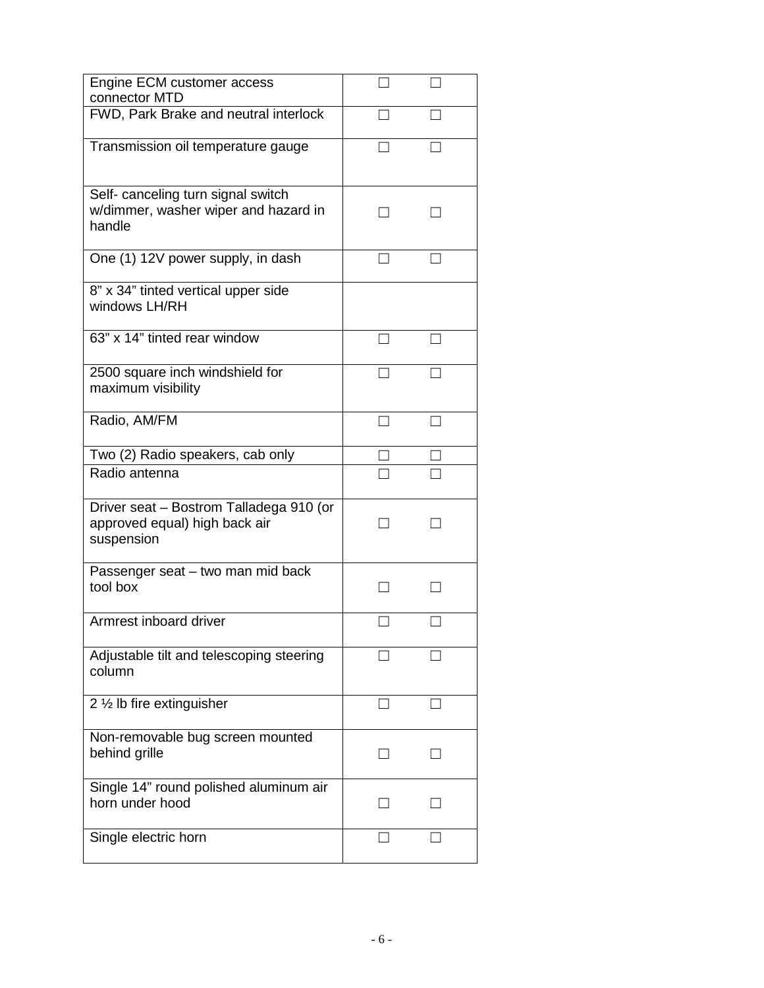| Engine ECM customer access<br>connector MTD                                            |  |
|----------------------------------------------------------------------------------------|--|
| FWD, Park Brake and neutral interlock                                                  |  |
| Transmission oil temperature gauge                                                     |  |
| Self- canceling turn signal switch<br>w/dimmer, washer wiper and hazard in<br>handle   |  |
| One (1) 12V power supply, in dash                                                      |  |
| 8" x 34" tinted vertical upper side<br>windows LH/RH                                   |  |
| 63" x 14" tinted rear window                                                           |  |
| 2500 square inch windshield for<br>maximum visibility                                  |  |
| Radio, AM/FM                                                                           |  |
| Two (2) Radio speakers, cab only                                                       |  |
| Radio antenna                                                                          |  |
|                                                                                        |  |
| Driver seat – Bostrom Talladega 910 (or<br>approved equal) high back air<br>suspension |  |
| Passenger seat - two man mid back<br>tool box                                          |  |
| Armrest inboard driver                                                                 |  |
| Adjustable tilt and telescoping steering<br>column                                     |  |
| 2 $\frac{1}{2}$ lb fire extinguisher                                                   |  |
| Non-removable bug screen mounted<br>behind grille                                      |  |
| Single 14" round polished aluminum air<br>horn under hood                              |  |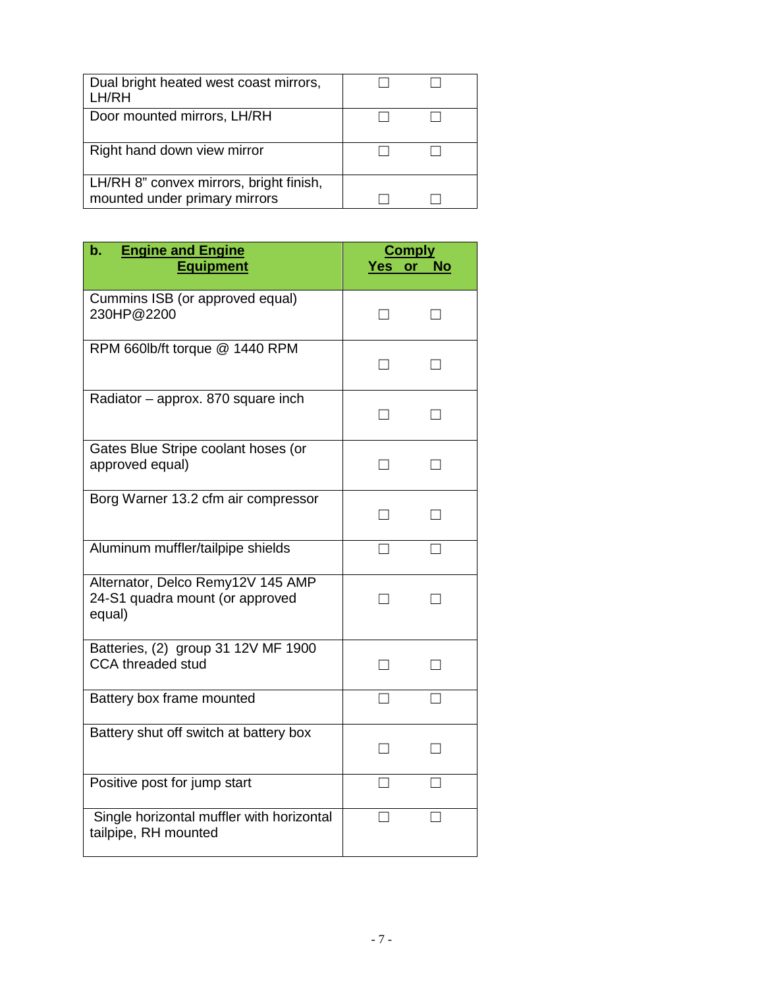| Dual bright heated west coast mirrors,<br>LH/RH                          |  |
|--------------------------------------------------------------------------|--|
| Door mounted mirrors, LH/RH                                              |  |
| Right hand down view mirror                                              |  |
| LH/RH 8" convex mirrors, bright finish,<br>mounted under primary mirrors |  |

| <b>Engine and Engine</b><br>$\mathbf{b}$ .<br><b>Equipment</b>                 | <b>Comply</b><br>Yes or<br><b>No</b> |        |
|--------------------------------------------------------------------------------|--------------------------------------|--------|
| Cummins ISB (or approved equal)<br>230HP@2200                                  | ┓                                    |        |
| RPM 660lb/ft torque @ 1440 RPM                                                 | $\overline{\phantom{0}}$             |        |
| Radiator - approx. 870 square inch                                             | $\blacksquare$                       | $\Box$ |
| Gates Blue Stripe coolant hoses (or<br>approved equal)                         |                                      |        |
| Borg Warner 13.2 cfm air compressor                                            | $\blacksquare$                       | $\Box$ |
| Aluminum muffler/tailpipe shields                                              | П                                    |        |
| Alternator, Delco Remy12V 145 AMP<br>24-S1 quadra mount (or approved<br>equal) |                                      |        |
| Batteries, (2) group 31 12V MF 1900<br><b>CCA threaded stud</b>                |                                      |        |
| Battery box frame mounted                                                      | П                                    |        |
| Battery shut off switch at battery box                                         |                                      |        |
| Positive post for jump start                                                   |                                      |        |
| Single horizontal muffler with horizontal<br>tailpipe, RH mounted              |                                      |        |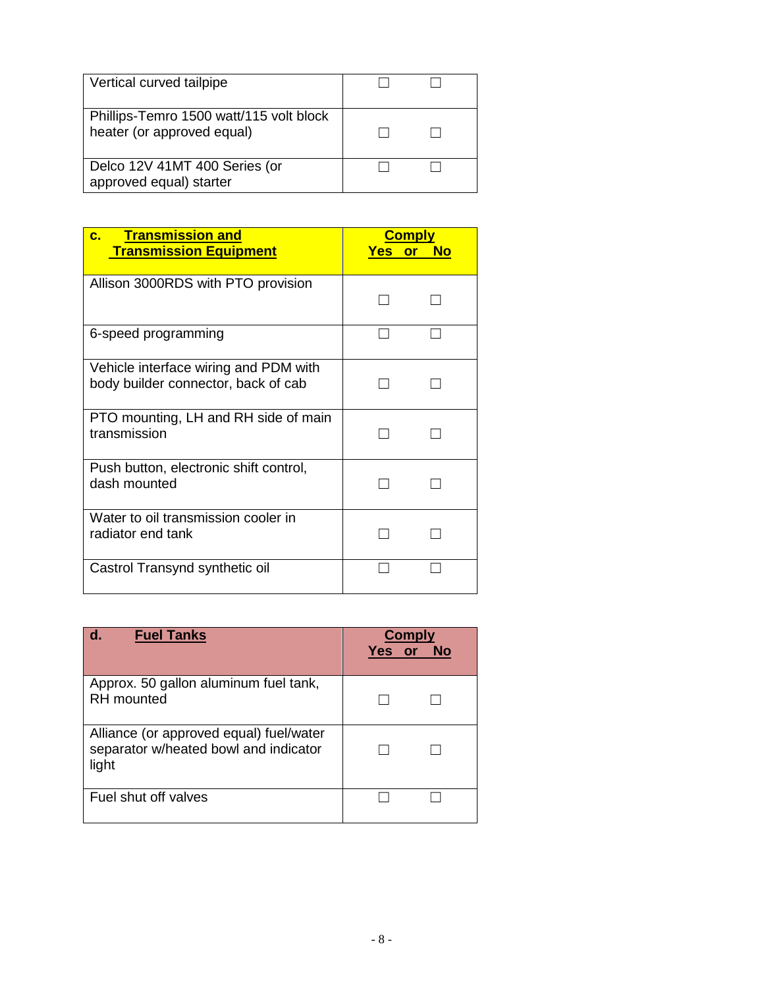| Vertical curved tailpipe                                              |  |
|-----------------------------------------------------------------------|--|
| Phillips-Temro 1500 watt/115 volt block<br>heater (or approved equal) |  |
| Delco 12V 41MT 400 Series (or<br>approved equal) starter              |  |

| <b>Transmission and</b><br>$\mathbf{c}$ .<br><b>Transmission Equipment</b>   | <b>Comply</b><br><b>Yes</b><br><b>No</b><br>or |  |
|------------------------------------------------------------------------------|------------------------------------------------|--|
| Allison 3000RDS with PTO provision                                           |                                                |  |
| 6-speed programming                                                          |                                                |  |
| Vehicle interface wiring and PDM with<br>body builder connector, back of cab |                                                |  |
| PTO mounting, LH and RH side of main<br>transmission                         |                                                |  |
| Push button, electronic shift control,<br>dash mounted                       |                                                |  |
| Water to oil transmission cooler in<br>radiator end tank                     |                                                |  |
| Castrol Transynd synthetic oil                                               |                                                |  |

| <b>Fuel Tanks</b>                                                                         | Comply<br><b>Yes</b><br>Nο |  |
|-------------------------------------------------------------------------------------------|----------------------------|--|
| Approx. 50 gallon aluminum fuel tank,<br><b>RH</b> mounted                                |                            |  |
| Alliance (or approved equal) fuel/water<br>separator w/heated bowl and indicator<br>light |                            |  |
| Fuel shut off valves                                                                      |                            |  |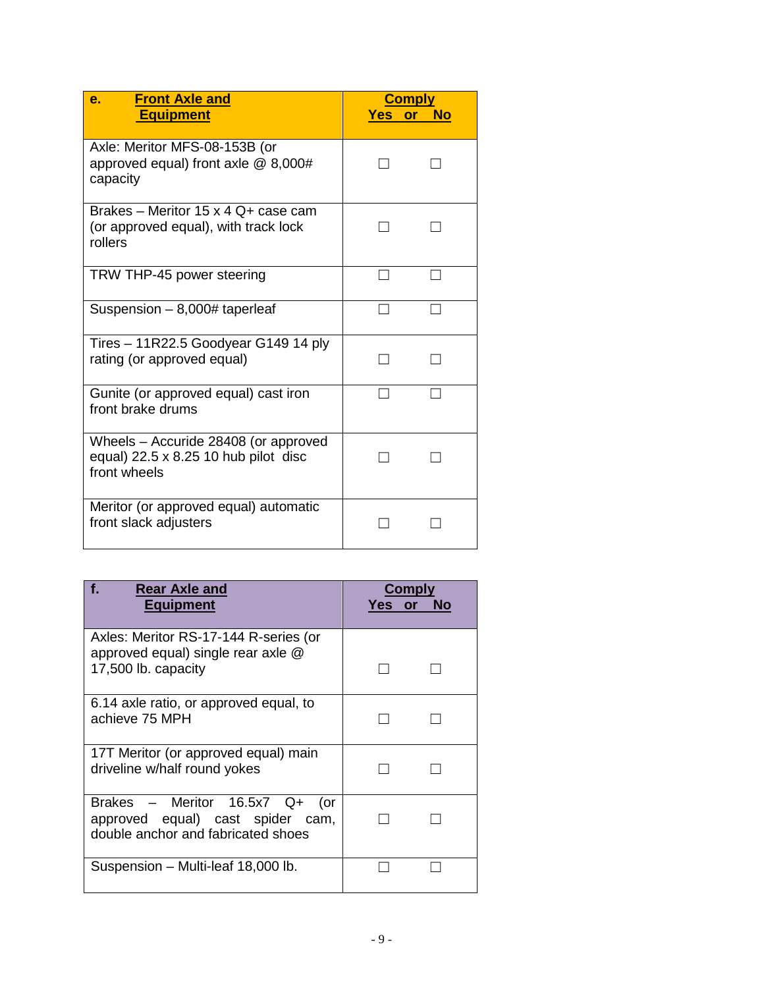| <b>Front Axle and</b><br>e.<br><b>Equipment</b>                                                     | <b>Comply</b><br>Yes or<br><b>No</b> |  |
|-----------------------------------------------------------------------------------------------------|--------------------------------------|--|
| Axle: Meritor MFS-08-153B (or<br>approved equal) front axle $@$ 8,000#<br>capacity                  |                                      |  |
| Brakes – Meritor 15 x 4 Q+ case cam<br>(or approved equal), with track lock<br>rollers              |                                      |  |
| TRW THP-45 power steering                                                                           |                                      |  |
| Suspension $-8,000#$ taperleaf                                                                      |                                      |  |
| Tires - 11R22.5 Goodyear G149 14 ply<br>rating (or approved equal)                                  |                                      |  |
| Gunite (or approved equal) cast iron<br>front brake drums                                           |                                      |  |
| Wheels – Accuride 28408 (or approved<br>equal) $22.5 \times 8.25$ 10 hub pilot disc<br>front wheels |                                      |  |
| Meritor (or approved equal) automatic<br>front slack adjusters                                      |                                      |  |

| f.<br><b>Rear Axle and</b><br><b>Equipment</b>                                                             | Complv<br>Yes<br>or |
|------------------------------------------------------------------------------------------------------------|---------------------|
| Axles: Meritor RS-17-144 R-series (or<br>approved equal) single rear axle @<br>17,500 lb. capacity         |                     |
| 6.14 axle ratio, or approved equal, to<br>achieve 75 MPH                                                   |                     |
| 17T Meritor (or approved equal) main<br>driveline w/half round yokes                                       |                     |
| Brakes - Meritor $16.5x7$ Q+ (or<br>approved equal) cast spider cam,<br>double anchor and fabricated shoes |                     |
| Suspension – Multi-leaf 18,000 lb.                                                                         |                     |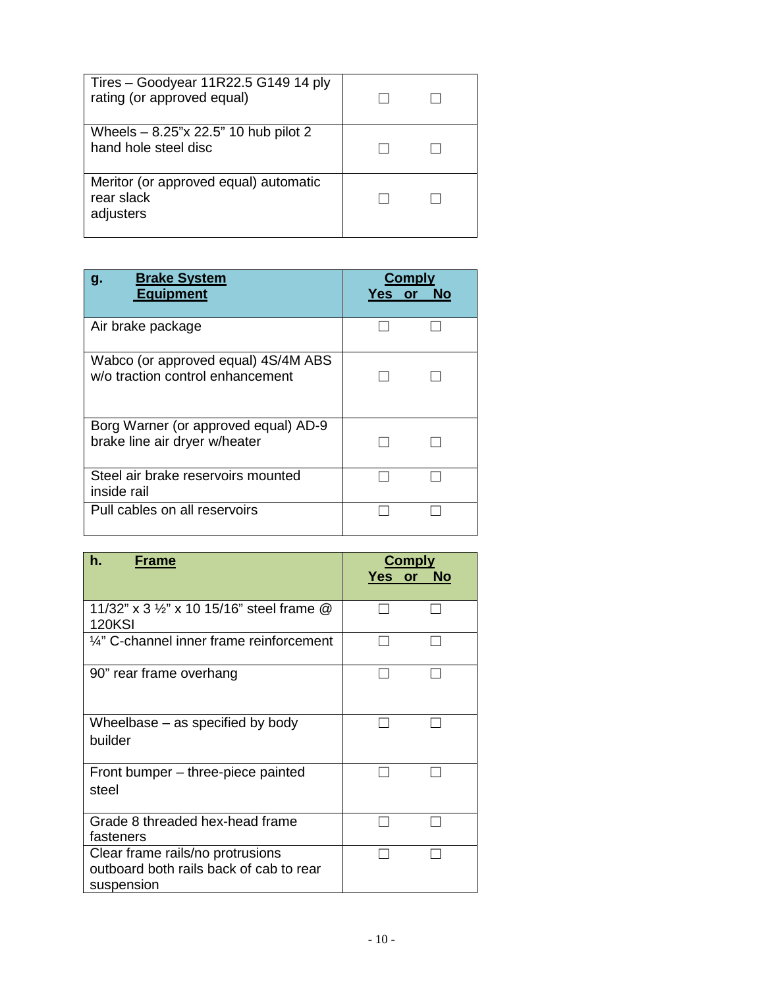| Tires – Goodyear 11R22.5 G149 14 ply<br>rating (or approved equal) |  |
|--------------------------------------------------------------------|--|
| Wheels - 8.25"x 22.5" 10 hub pilot 2<br>hand hole steel disc       |  |
| Meritor (or approved equal) automatic<br>rear slack<br>adjusters   |  |

| <b>Brake System</b><br>g.<br><b>Equipment</b>                           | Yes or | Comply |
|-------------------------------------------------------------------------|--------|--------|
| Air brake package                                                       |        |        |
| Wabco (or approved equal) 4S/4M ABS<br>w/o traction control enhancement |        |        |
| Borg Warner (or approved equal) AD-9<br>brake line air dryer w/heater   |        |        |
| Steel air brake reservoirs mounted<br>inside rail                       |        |        |
| Pull cables on all reservoirs                                           |        |        |

| h.<br><b>Frame</b>                                                                        | Yes or | <b>Comply</b><br>No |
|-------------------------------------------------------------------------------------------|--------|---------------------|
| 11/32" x 3 1/2" x 10 15/16" steel frame @<br><b>120KSI</b>                                |        |                     |
| 1/4" C-channel inner frame reinforcement                                                  |        |                     |
| 90" rear frame overhang                                                                   |        |                     |
| Wheelbase $-$ as specified by body<br>builder                                             |        |                     |
| Front bumper – three-piece painted<br>steel                                               |        |                     |
| Grade 8 threaded hex-head frame<br>fasteners                                              |        |                     |
| Clear frame rails/no protrusions<br>outboard both rails back of cab to rear<br>suspension |        |                     |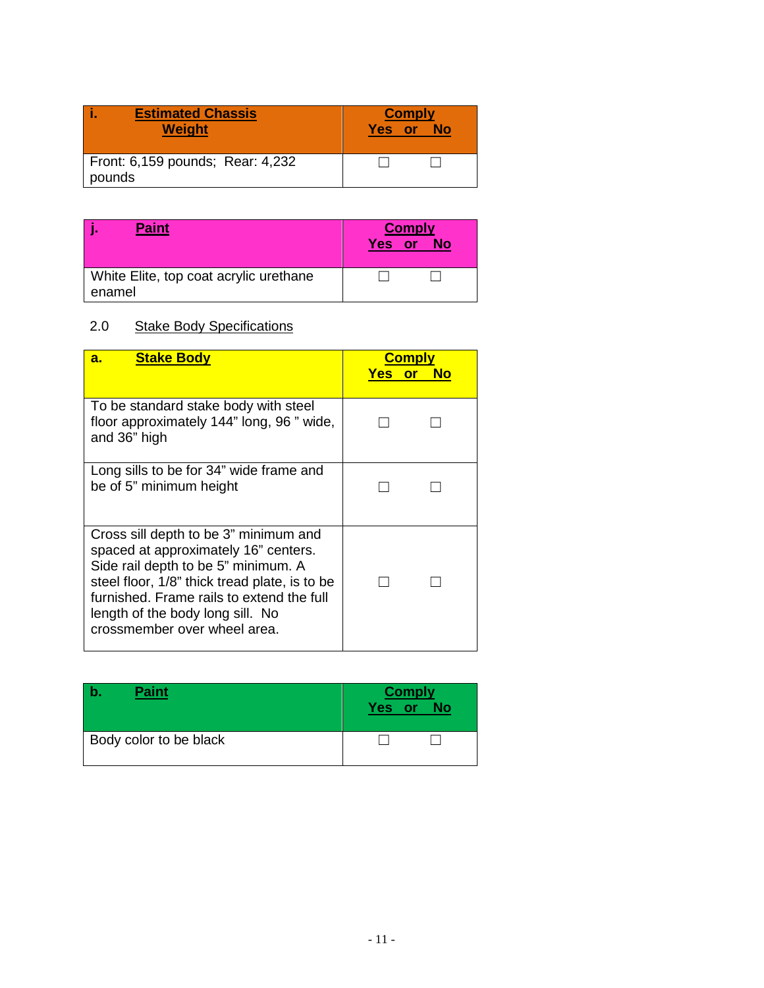| <b>Estimated Chassis</b><br><b>Weight</b>  | <b>Comply</b><br>Yes or<br>No |
|--------------------------------------------|-------------------------------|
| Front: 6,159 pounds; Rear: 4,232<br>pounds |                               |

| <b>Paint</b>                                     | <b>Yes</b> | <b>Comply</b><br><b>Tor</b><br>Nο |
|--------------------------------------------------|------------|-----------------------------------|
| White Elite, top coat acrylic urethane<br>enamel |            |                                   |

### 2.0 Stake Body Specifications

| <b>Stake Body</b><br>a.                                                                                                                                                                                                                                                                | <b>Comply</b><br>Yes or<br>No |
|----------------------------------------------------------------------------------------------------------------------------------------------------------------------------------------------------------------------------------------------------------------------------------------|-------------------------------|
| To be standard stake body with steel<br>floor approximately 144" long, 96 " wide,<br>and 36" high                                                                                                                                                                                      |                               |
| Long sills to be for 34" wide frame and<br>be of 5" minimum height                                                                                                                                                                                                                     |                               |
| Cross sill depth to be 3" minimum and<br>spaced at approximately 16" centers.<br>Side rail depth to be 5" minimum. A<br>steel floor, 1/8" thick tread plate, is to be<br>furnished. Frame rails to extend the full<br>length of the body long sill. No<br>crossmember over wheel area. |                               |

| <b>Paint</b>           | Yes or | <b>Comply</b><br><b>No</b> |
|------------------------|--------|----------------------------|
| Body color to be black |        |                            |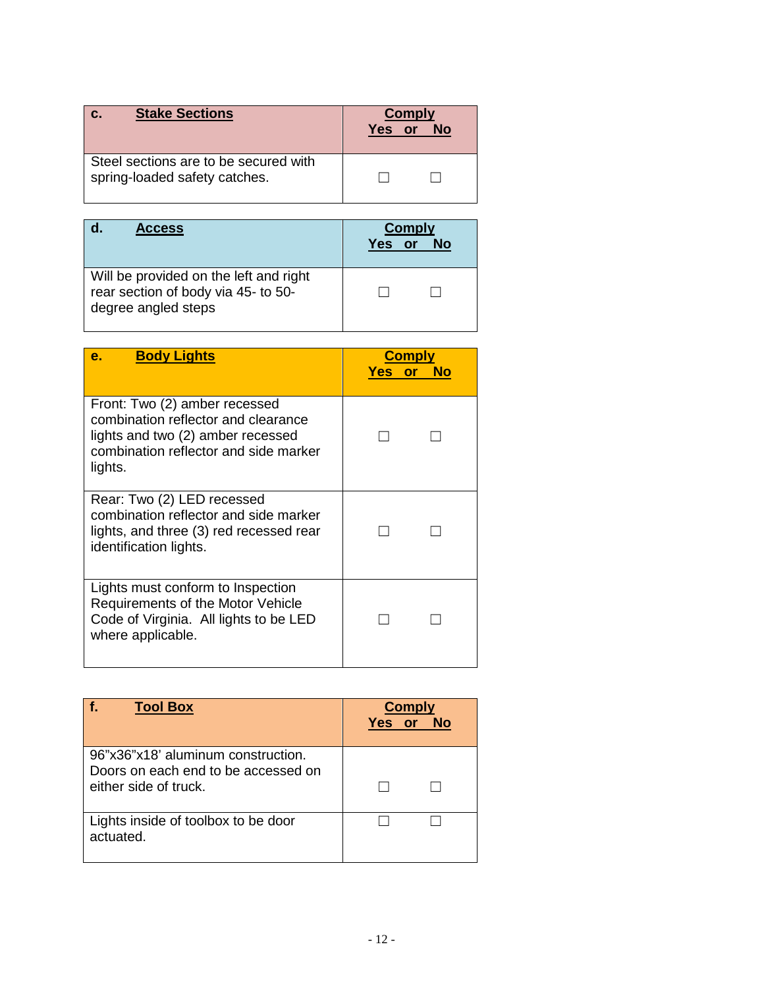| <b>Stake Sections</b><br>$\mathbf{C}$                                  | <b>Comply</b><br><b>or</b><br><b>Yes</b><br><b>No</b> |
|------------------------------------------------------------------------|-------------------------------------------------------|
| Steel sections are to be secured with<br>spring-loaded safety catches. |                                                       |

| <b>Access</b><br>d.                                                                                  | <b>Comply</b><br>Yes<br>Nο<br><b>or</b> |
|------------------------------------------------------------------------------------------------------|-----------------------------------------|
| Will be provided on the left and right<br>rear section of body via 45- to 50-<br>degree angled steps |                                         |

| <b>Body Lights</b><br>е.                                                                                                                                      | <b>Comply</b><br><b>Yes or No</b> |
|---------------------------------------------------------------------------------------------------------------------------------------------------------------|-----------------------------------|
| Front: Two (2) amber recessed<br>combination reflector and clearance<br>lights and two (2) amber recessed<br>combination reflector and side marker<br>lights. |                                   |
| Rear: Two (2) LED recessed<br>combination reflector and side marker<br>lights, and three (3) red recessed rear<br>identification lights.                      |                                   |
| Lights must conform to Inspection<br>Requirements of the Motor Vehicle<br>Code of Virginia. All lights to be LED<br>where applicable.                         |                                   |

| <b>Tool Box</b>                                                                                    | <b>Comply</b><br>Yes or |
|----------------------------------------------------------------------------------------------------|-------------------------|
| 96"x36"x18' aluminum construction.<br>Doors on each end to be accessed on<br>either side of truck. |                         |
| Lights inside of toolbox to be door<br>actuated.                                                   |                         |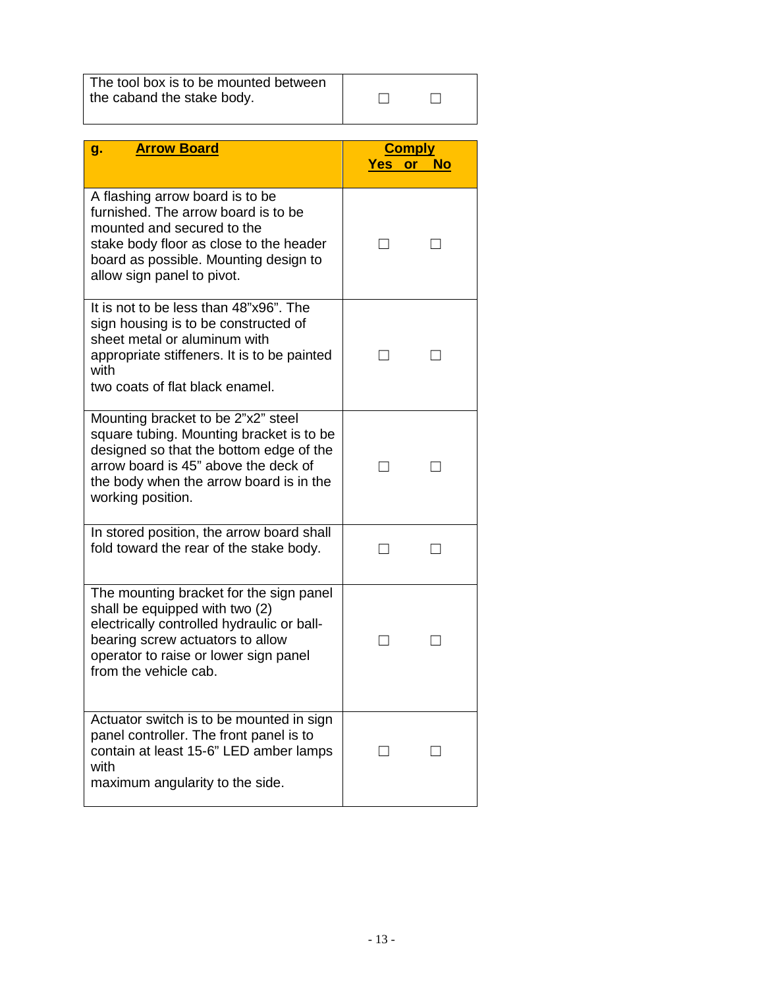| The tool box is to be mounted between<br>the caband the stake body.                                                                                                                                                               |        |                            |
|-----------------------------------------------------------------------------------------------------------------------------------------------------------------------------------------------------------------------------------|--------|----------------------------|
|                                                                                                                                                                                                                                   |        |                            |
| <b>Arrow Board</b><br>g.                                                                                                                                                                                                          | Yes or | <b>Comply</b><br><b>No</b> |
| A flashing arrow board is to be<br>furnished. The arrow board is to be<br>mounted and secured to the<br>stake body floor as close to the header<br>board as possible. Mounting design to<br>allow sign panel to pivot.            |        |                            |
| It is not to be less than 48"x96". The<br>sign housing is to be constructed of<br>sheet metal or aluminum with<br>appropriate stiffeners. It is to be painted<br>with<br>two coats of flat black enamel.                          |        |                            |
| Mounting bracket to be 2"x2" steel<br>square tubing. Mounting bracket is to be<br>designed so that the bottom edge of the<br>arrow board is 45" above the deck of<br>the body when the arrow board is in the<br>working position. |        |                            |
| In stored position, the arrow board shall<br>fold toward the rear of the stake body.                                                                                                                                              |        |                            |
| The mounting bracket for the sign panel<br>shall be equipped with two (2)<br>electrically controlled hydraulic or ball-<br>bearing screw actuators to allow<br>operator to raise or lower sign panel<br>from the vehicle cab.     |        |                            |
| Actuator switch is to be mounted in sign<br>panel controller. The front panel is to<br>contain at least 15-6" LED amber lamps<br>with<br>maximum angularity to the side.                                                          |        |                            |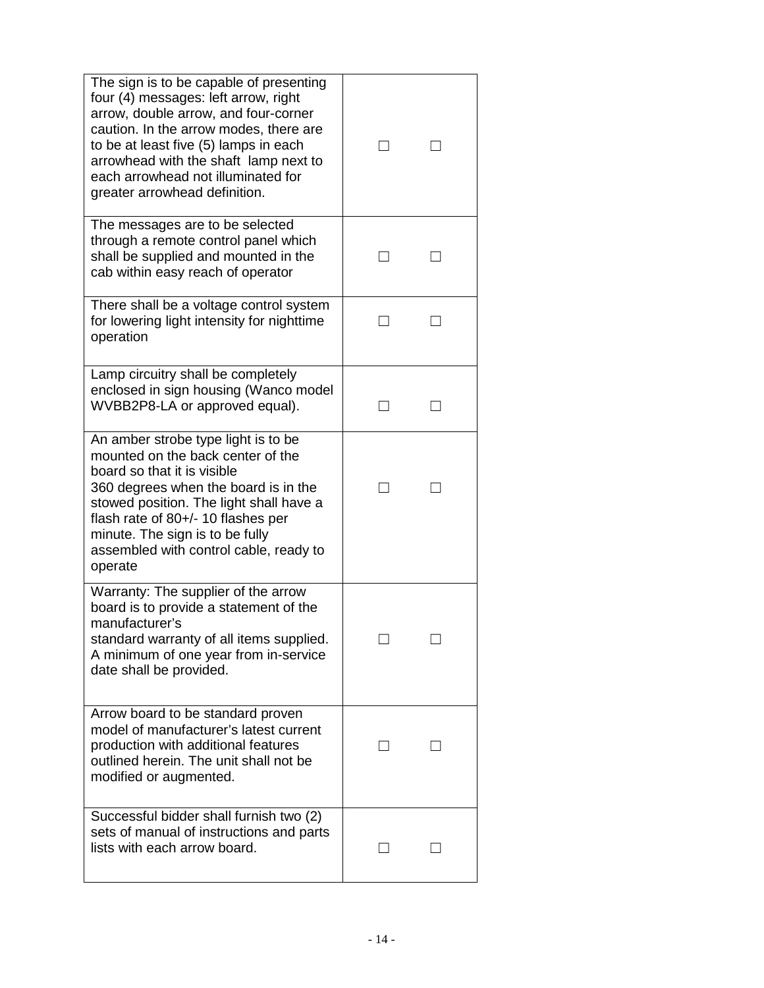| The sign is to be capable of presenting<br>four (4) messages: left arrow, right<br>arrow, double arrow, and four-corner<br>caution. In the arrow modes, there are<br>to be at least five (5) lamps in each<br>arrowhead with the shaft lamp next to<br>each arrowhead not illuminated for<br>greater arrowhead definition. |  |
|----------------------------------------------------------------------------------------------------------------------------------------------------------------------------------------------------------------------------------------------------------------------------------------------------------------------------|--|
| The messages are to be selected<br>through a remote control panel which<br>shall be supplied and mounted in the<br>cab within easy reach of operator                                                                                                                                                                       |  |
| There shall be a voltage control system<br>for lowering light intensity for nighttime<br>operation                                                                                                                                                                                                                         |  |
| Lamp circuitry shall be completely<br>enclosed in sign housing (Wanco model<br>WVBB2P8-LA or approved equal).                                                                                                                                                                                                              |  |
| An amber strobe type light is to be<br>mounted on the back center of the<br>board so that it is visible<br>360 degrees when the board is in the<br>stowed position. The light shall have a<br>flash rate of $80+/$ -10 flashes per<br>minute. The sign is to be fully<br>assembled with control cable, ready to<br>operate |  |
| Warranty: The supplier of the arrow<br>board is to provide a statement of the<br>manufacturer's<br>standard warranty of all items supplied.<br>A minimum of one year from in-service<br>date shall be provided.                                                                                                            |  |
| Arrow board to be standard proven<br>model of manufacturer's latest current<br>production with additional features<br>outlined herein. The unit shall not be<br>modified or augmented.                                                                                                                                     |  |
| Successful bidder shall furnish two (2)<br>sets of manual of instructions and parts<br>lists with each arrow board.                                                                                                                                                                                                        |  |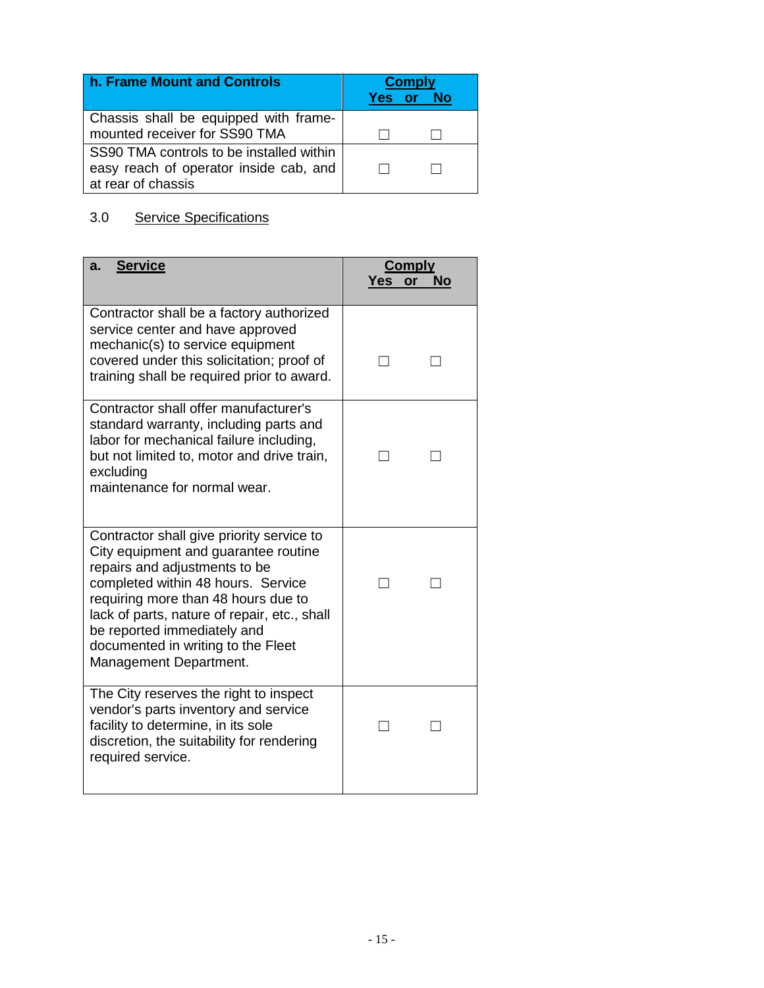| h. Frame Mount and Controls                                                                              | <b>Comply</b><br><b>or</b><br>Yes |
|----------------------------------------------------------------------------------------------------------|-----------------------------------|
| Chassis shall be equipped with frame-<br>mounted receiver for SS90 TMA                                   |                                   |
| SS90 TMA controls to be installed within<br>easy reach of operator inside cab, and<br>at rear of chassis |                                   |

#### 3.0 Service Specifications

| <b>Service</b><br>a.                                                                                                                                                                                                                                                                                                                           | <b>Comply</b><br>Yes or<br>No |  |
|------------------------------------------------------------------------------------------------------------------------------------------------------------------------------------------------------------------------------------------------------------------------------------------------------------------------------------------------|-------------------------------|--|
| Contractor shall be a factory authorized<br>service center and have approved<br>mechanic(s) to service equipment<br>covered under this solicitation; proof of<br>training shall be required prior to award.                                                                                                                                    |                               |  |
| Contractor shall offer manufacturer's<br>standard warranty, including parts and<br>labor for mechanical failure including,<br>but not limited to, motor and drive train,<br>excluding<br>maintenance for normal wear.                                                                                                                          |                               |  |
| Contractor shall give priority service to<br>City equipment and guarantee routine<br>repairs and adjustments to be<br>completed within 48 hours. Service<br>requiring more than 48 hours due to<br>lack of parts, nature of repair, etc., shall<br>be reported immediately and<br>documented in writing to the Fleet<br>Management Department. |                               |  |
| The City reserves the right to inspect<br>vendor's parts inventory and service<br>facility to determine, in its sole<br>discretion, the suitability for rendering<br>required service.                                                                                                                                                         |                               |  |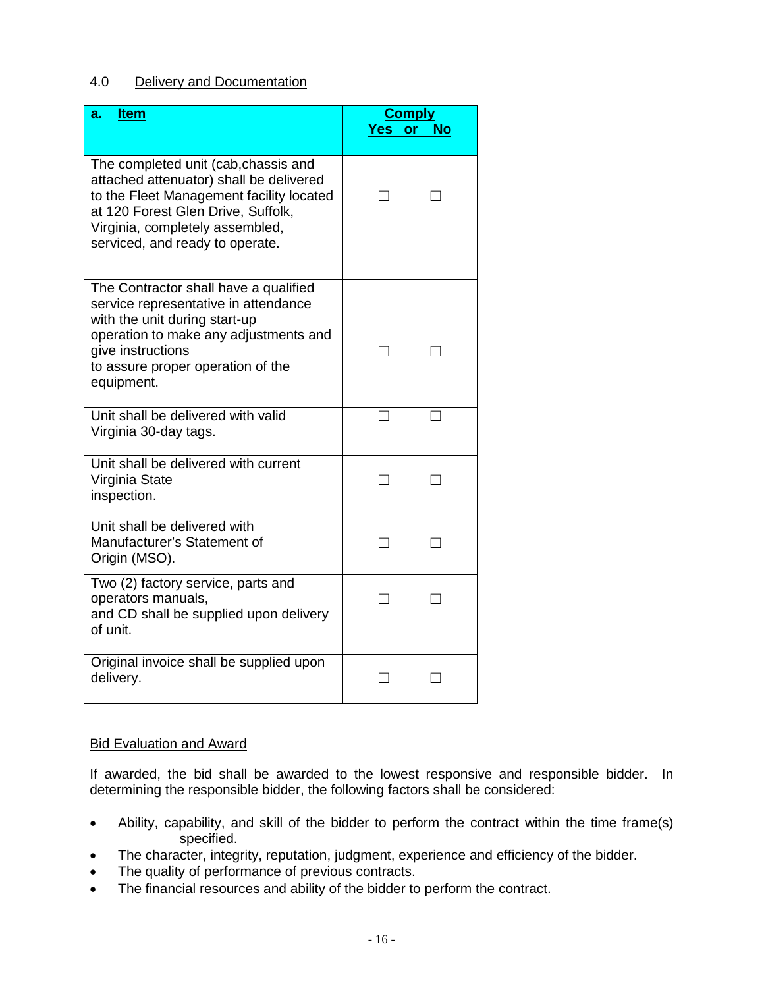#### 4.0 Delivery and Documentation

| <b>Item</b><br>a.                                                                                                                                                                                                                       | <b>Comply</b><br>Yes or<br><b>No</b> |
|-----------------------------------------------------------------------------------------------------------------------------------------------------------------------------------------------------------------------------------------|--------------------------------------|
| The completed unit (cab, chassis and<br>attached attenuator) shall be delivered<br>to the Fleet Management facility located<br>at 120 Forest Glen Drive, Suffolk,<br>Virginia, completely assembled,<br>serviced, and ready to operate. |                                      |
| The Contractor shall have a qualified<br>service representative in attendance<br>with the unit during start-up<br>operation to make any adjustments and<br>give instructions<br>to assure proper operation of the<br>equipment.         |                                      |
| Unit shall be delivered with valid<br>Virginia 30-day tags.                                                                                                                                                                             |                                      |
| Unit shall be delivered with current<br>Virginia State<br>inspection.                                                                                                                                                                   |                                      |
| Unit shall be delivered with<br>Manufacturer's Statement of<br>Origin (MSO).                                                                                                                                                            |                                      |
| Two (2) factory service, parts and<br>operators manuals,<br>and CD shall be supplied upon delivery<br>of unit.                                                                                                                          |                                      |
| Original invoice shall be supplied upon<br>delivery.                                                                                                                                                                                    |                                      |

#### Bid Evaluation and Award

If awarded, the bid shall be awarded to the lowest responsive and responsible bidder. In determining the responsible bidder, the following factors shall be considered:

- Ability, capability, and skill of the bidder to perform the contract within the time frame(s) specified.
- The character, integrity, reputation, judgment, experience and efficiency of the bidder.
- The quality of performance of previous contracts.
- The financial resources and ability of the bidder to perform the contract.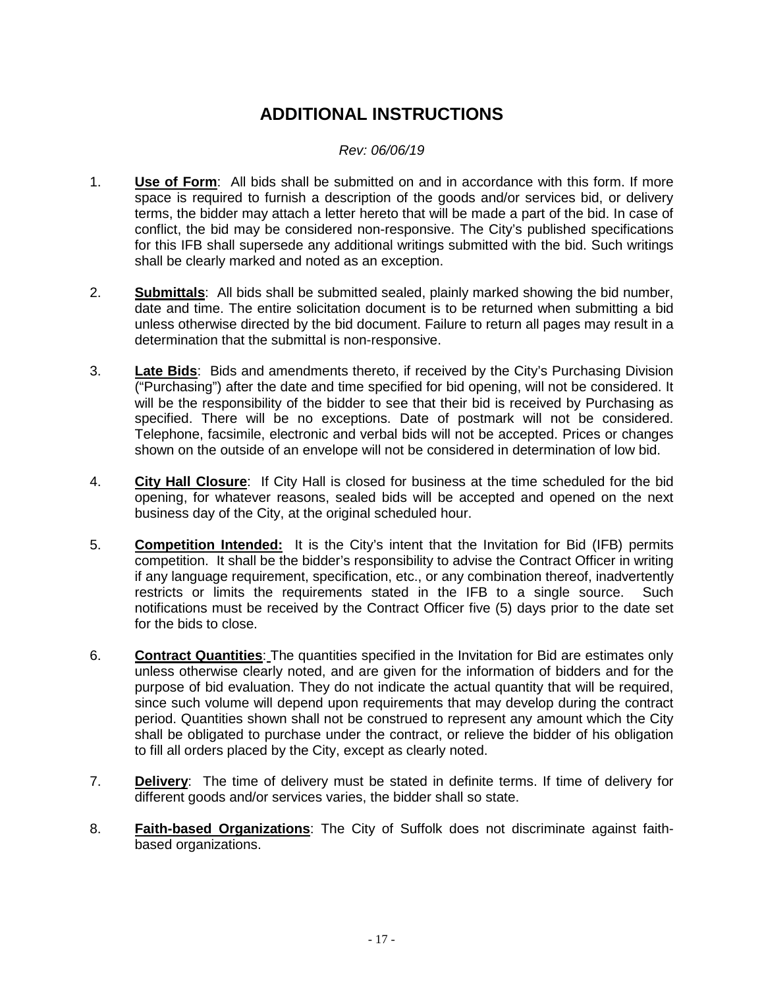# **ADDITIONAL INSTRUCTIONS**

#### *Rev: 06/06/19*

- 1. **Use of Form**: All bids shall be submitted on and in accordance with this form. If more space is required to furnish a description of the goods and/or services bid, or delivery terms, the bidder may attach a letter hereto that will be made a part of the bid. In case of conflict, the bid may be considered non-responsive. The City's published specifications for this IFB shall supersede any additional writings submitted with the bid. Such writings shall be clearly marked and noted as an exception.
- 2. **Submittals**: All bids shall be submitted sealed, plainly marked showing the bid number, date and time. The entire solicitation document is to be returned when submitting a bid unless otherwise directed by the bid document. Failure to return all pages may result in a determination that the submittal is non-responsive.
- 3. **Late Bids**: Bids and amendments thereto, if received by the City's Purchasing Division ("Purchasing") after the date and time specified for bid opening, will not be considered. It will be the responsibility of the bidder to see that their bid is received by Purchasing as specified. There will be no exceptions. Date of postmark will not be considered. Telephone, facsimile, electronic and verbal bids will not be accepted. Prices or changes shown on the outside of an envelope will not be considered in determination of low bid.
- 4. **City Hall Closure**: If City Hall is closed for business at the time scheduled for the bid opening, for whatever reasons, sealed bids will be accepted and opened on the next business day of the City, at the original scheduled hour.
- 5. **Competition Intended:** It is the City's intent that the Invitation for Bid (IFB) permits competition. It shall be the bidder's responsibility to advise the Contract Officer in writing if any language requirement, specification, etc., or any combination thereof, inadvertently restricts or limits the requirements stated in the IFB to a single source. Such notifications must be received by the Contract Officer five (5) days prior to the date set for the bids to close.
- 6. **Contract Quantities**: The quantities specified in the Invitation for Bid are estimates only unless otherwise clearly noted, and are given for the information of bidders and for the purpose of bid evaluation. They do not indicate the actual quantity that will be required, since such volume will depend upon requirements that may develop during the contract period. Quantities shown shall not be construed to represent any amount which the City shall be obligated to purchase under the contract, or relieve the bidder of his obligation to fill all orders placed by the City, except as clearly noted.
- 7. **Delivery**: The time of delivery must be stated in definite terms. If time of delivery for different goods and/or services varies, the bidder shall so state.
- 8. **Faith-based Organizations**: The City of Suffolk does not discriminate against faithbased organizations.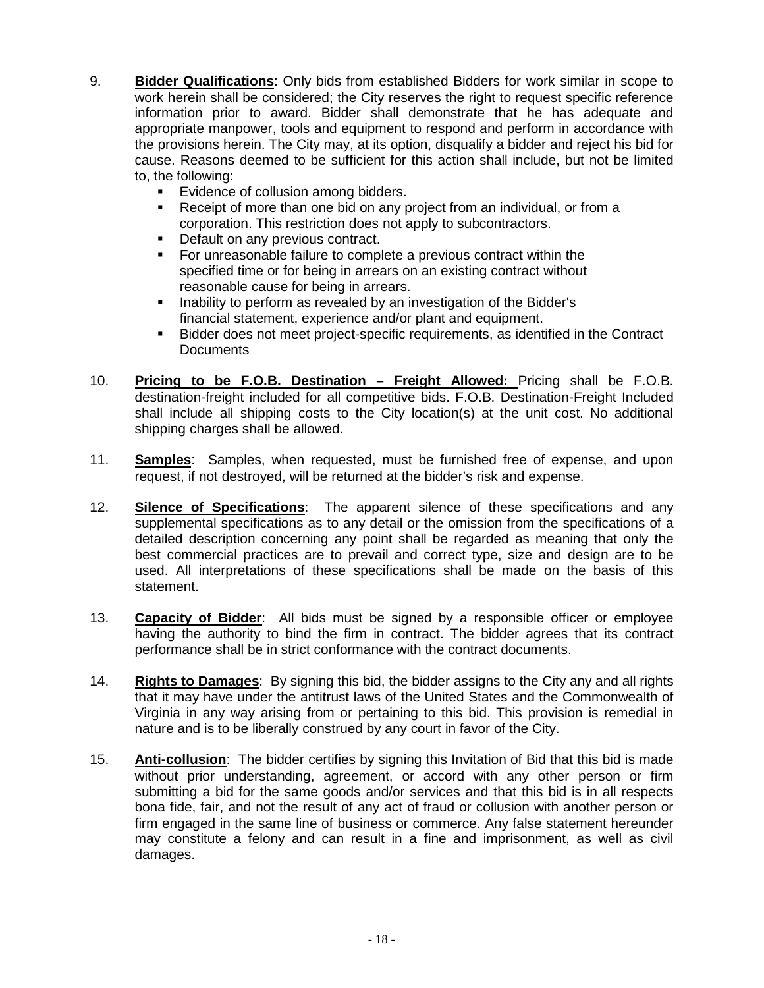- 9. **Bidder Qualifications**: Only bids from established Bidders for work similar in scope to work herein shall be considered; the City reserves the right to request specific reference information prior to award. Bidder shall demonstrate that he has adequate and appropriate manpower, tools and equipment to respond and perform in accordance with the provisions herein. The City may, at its option, disqualify a bidder and reject his bid for cause. Reasons deemed to be sufficient for this action shall include, but not be limited to, the following:
	- **Evidence of collusion among bidders.**
	- Receipt of more than one bid on any project from an individual, or from a corporation. This restriction does not apply to subcontractors.
	- Default on any previous contract.
	- For unreasonable failure to complete a previous contract within the specified time or for being in arrears on an existing contract without reasonable cause for being in arrears.
	- **Inability to perform as revealed by an investigation of the Bidder's** financial statement, experience and/or plant and equipment.
	- Bidder does not meet project-specific requirements, as identified in the Contract **Documents**
- 10. **Pricing to be F.O.B. Destination – Freight Allowed:** Pricing shall be F.O.B. destination-freight included for all competitive bids. F.O.B. Destination-Freight Included shall include all shipping costs to the City location(s) at the unit cost. No additional shipping charges shall be allowed.
- 11. **Samples**: Samples, when requested, must be furnished free of expense, and upon request, if not destroyed, will be returned at the bidder's risk and expense.
- 12. **Silence of Specifications**: The apparent silence of these specifications and any supplemental specifications as to any detail or the omission from the specifications of a detailed description concerning any point shall be regarded as meaning that only the best commercial practices are to prevail and correct type, size and design are to be used. All interpretations of these specifications shall be made on the basis of this statement.
- 13. **Capacity of Bidder**: All bids must be signed by a responsible officer or employee having the authority to bind the firm in contract. The bidder agrees that its contract performance shall be in strict conformance with the contract documents.
- 14. **Rights to Damages**: By signing this bid, the bidder assigns to the City any and all rights that it may have under the antitrust laws of the United States and the Commonwealth of Virginia in any way arising from or pertaining to this bid. This provision is remedial in nature and is to be liberally construed by any court in favor of the City.
- 15. **Anti-collusion**: The bidder certifies by signing this Invitation of Bid that this bid is made without prior understanding, agreement, or accord with any other person or firm submitting a bid for the same goods and/or services and that this bid is in all respects bona fide, fair, and not the result of any act of fraud or collusion with another person or firm engaged in the same line of business or commerce. Any false statement hereunder may constitute a felony and can result in a fine and imprisonment, as well as civil damages.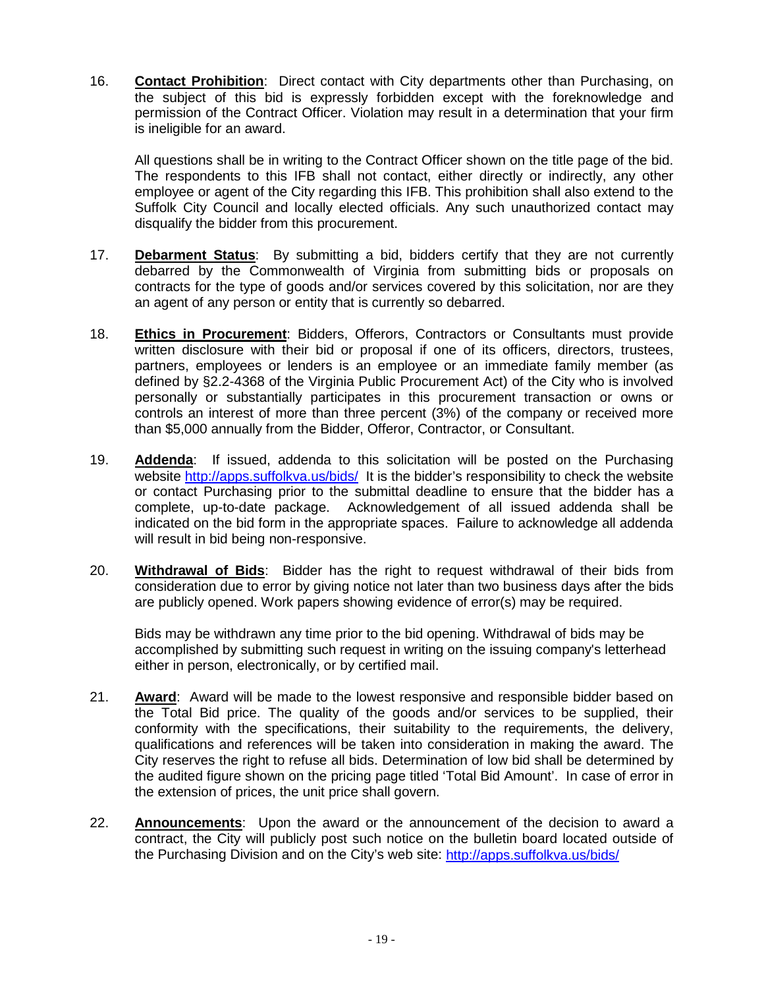16. **Contact Prohibition**: Direct contact with City departments other than Purchasing, on the subject of this bid is expressly forbidden except with the foreknowledge and permission of the Contract Officer. Violation may result in a determination that your firm is ineligible for an award.

All questions shall be in writing to the Contract Officer shown on the title page of the bid. The respondents to this IFB shall not contact, either directly or indirectly, any other employee or agent of the City regarding this IFB. This prohibition shall also extend to the Suffolk City Council and locally elected officials. Any such unauthorized contact may disqualify the bidder from this procurement.

- 17. **Debarment Status**: By submitting a bid, bidders certify that they are not currently debarred by the Commonwealth of Virginia from submitting bids or proposals on contracts for the type of goods and/or services covered by this solicitation, nor are they an agent of any person or entity that is currently so debarred.
- 18. **Ethics in Procurement**: Bidders, Offerors, Contractors or Consultants must provide written disclosure with their bid or proposal if one of its officers, directors, trustees, partners, employees or lenders is an employee or an immediate family member (as defined by §2.2-4368 of the Virginia Public Procurement Act) of the City who is involved personally or substantially participates in this procurement transaction or owns or controls an interest of more than three percent (3%) of the company or received more than \$5,000 annually from the Bidder, Offeror, Contractor, or Consultant.
- 19. **Addenda**: If issued, addenda to this solicitation will be posted on the Purchasing website<http://apps.suffolkva.us/bids/>It is the bidder's responsibility to check the website or contact Purchasing prior to the submittal deadline to ensure that the bidder has a complete, up-to-date package. Acknowledgement of all issued addenda shall be indicated on the bid form in the appropriate spaces. Failure to acknowledge all addenda will result in bid being non-responsive.
- 20. **Withdrawal of Bids**: Bidder has the right to request withdrawal of their bids from consideration due to error by giving notice not later than two business days after the bids are publicly opened. Work papers showing evidence of error(s) may be required.

Bids may be withdrawn any time prior to the bid opening. Withdrawal of bids may be accomplished by submitting such request in writing on the issuing company's letterhead either in person, electronically, or by certified mail.

- 21. **Award**: Award will be made to the lowest responsive and responsible bidder based on the Total Bid price. The quality of the goods and/or services to be supplied, their conformity with the specifications, their suitability to the requirements, the delivery, qualifications and references will be taken into consideration in making the award. The City reserves the right to refuse all bids. Determination of low bid shall be determined by the audited figure shown on the pricing page titled 'Total Bid Amount'. In case of error in the extension of prices, the unit price shall govern.
- 22. **Announcements**: Upon the award or the announcement of the decision to award a contract, the City will publicly post such notice on the bulletin board located outside of the Purchasing Division and on the City's web site:<http://apps.suffolkva.us/bids/>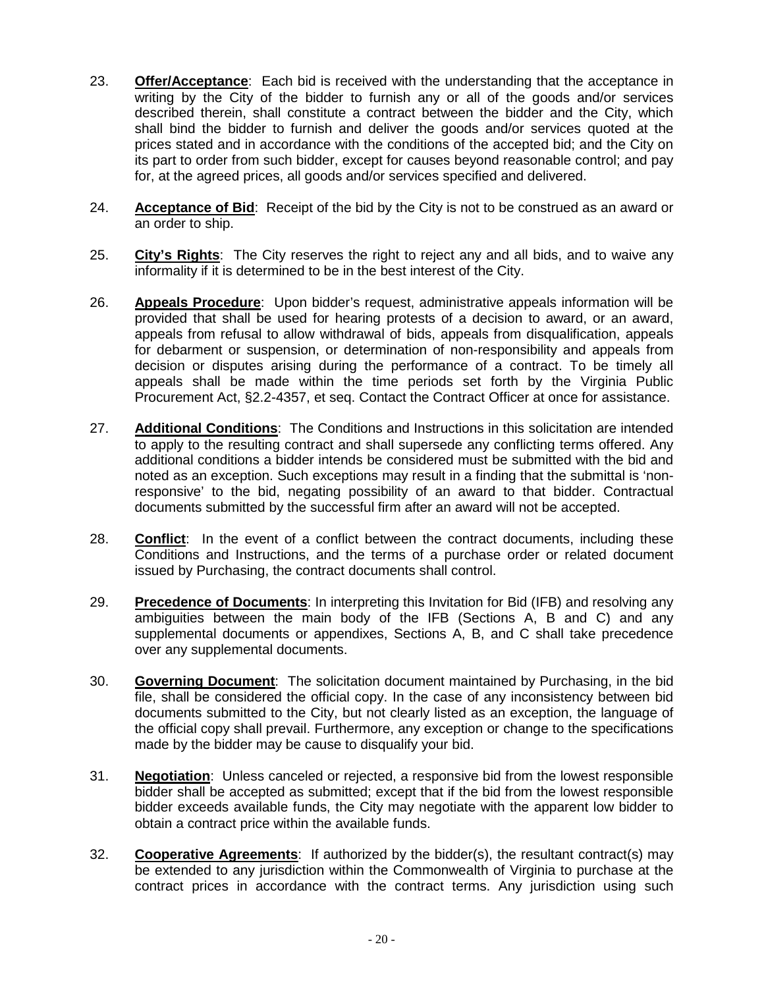- 23. **Offer/Acceptance**: Each bid is received with the understanding that the acceptance in writing by the City of the bidder to furnish any or all of the goods and/or services described therein, shall constitute a contract between the bidder and the City, which shall bind the bidder to furnish and deliver the goods and/or services quoted at the prices stated and in accordance with the conditions of the accepted bid; and the City on its part to order from such bidder, except for causes beyond reasonable control; and pay for, at the agreed prices, all goods and/or services specified and delivered.
- 24. **Acceptance of Bid**: Receipt of the bid by the City is not to be construed as an award or an order to ship.
- 25. **City's Rights**: The City reserves the right to reject any and all bids, and to waive any informality if it is determined to be in the best interest of the City.
- 26. **Appeals Procedure**: Upon bidder's request, administrative appeals information will be provided that shall be used for hearing protests of a decision to award, or an award, appeals from refusal to allow withdrawal of bids, appeals from disqualification, appeals for debarment or suspension, or determination of non-responsibility and appeals from decision or disputes arising during the performance of a contract. To be timely all appeals shall be made within the time periods set forth by the Virginia Public Procurement Act, §2.2-4357, et seq. Contact the Contract Officer at once for assistance.
- 27. **Additional Conditions**: The Conditions and Instructions in this solicitation are intended to apply to the resulting contract and shall supersede any conflicting terms offered. Any additional conditions a bidder intends be considered must be submitted with the bid and noted as an exception. Such exceptions may result in a finding that the submittal is 'nonresponsive' to the bid, negating possibility of an award to that bidder. Contractual documents submitted by the successful firm after an award will not be accepted.
- 28. **Conflict**: In the event of a conflict between the contract documents, including these Conditions and Instructions, and the terms of a purchase order or related document issued by Purchasing, the contract documents shall control.
- 29. **Precedence of Documents**: In interpreting this Invitation for Bid (IFB) and resolving any ambiguities between the main body of the IFB (Sections A, B and C) and any supplemental documents or appendixes, Sections A, B, and C shall take precedence over any supplemental documents.
- 30. **Governing Document**: The solicitation document maintained by Purchasing, in the bid file, shall be considered the official copy. In the case of any inconsistency between bid documents submitted to the City, but not clearly listed as an exception, the language of the official copy shall prevail. Furthermore, any exception or change to the specifications made by the bidder may be cause to disqualify your bid.
- 31. **Negotiation**: Unless canceled or rejected, a responsive bid from the lowest responsible bidder shall be accepted as submitted; except that if the bid from the lowest responsible bidder exceeds available funds, the City may negotiate with the apparent low bidder to obtain a contract price within the available funds.
- 32. **Cooperative Agreements**: If authorized by the bidder(s), the resultant contract(s) may be extended to any jurisdiction within the Commonwealth of Virginia to purchase at the contract prices in accordance with the contract terms. Any jurisdiction using such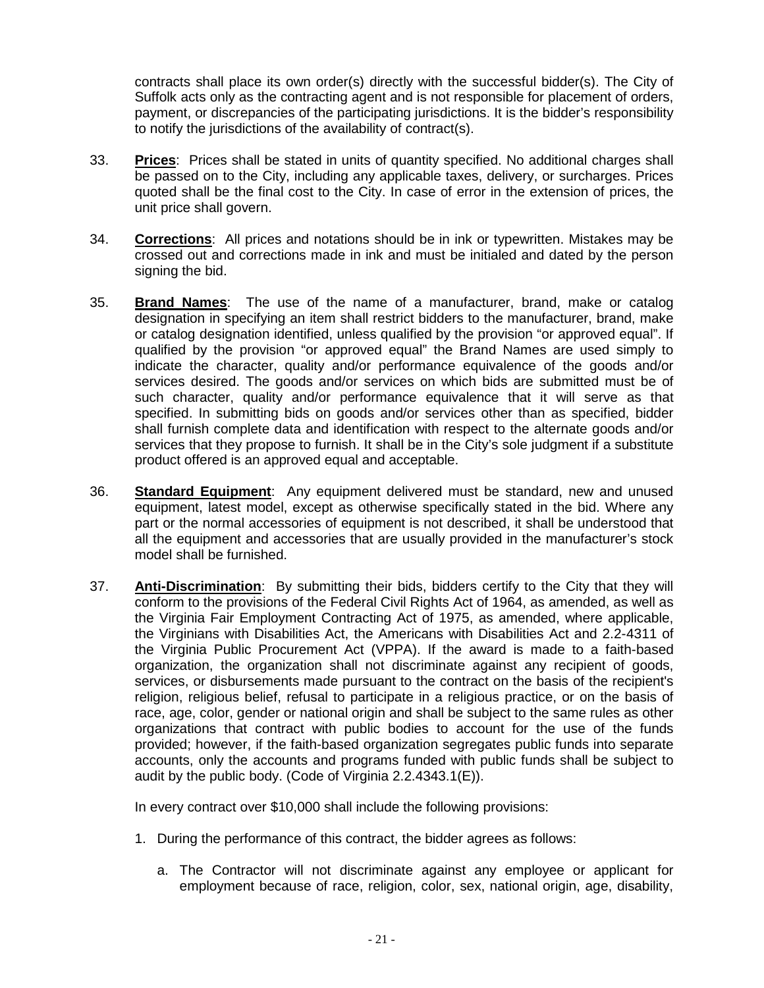contracts shall place its own order(s) directly with the successful bidder(s). The City of Suffolk acts only as the contracting agent and is not responsible for placement of orders, payment, or discrepancies of the participating jurisdictions. It is the bidder's responsibility to notify the jurisdictions of the availability of contract(s).

- 33. **Prices**: Prices shall be stated in units of quantity specified. No additional charges shall be passed on to the City, including any applicable taxes, delivery, or surcharges. Prices quoted shall be the final cost to the City. In case of error in the extension of prices, the unit price shall govern.
- 34. **Corrections**: All prices and notations should be in ink or typewritten. Mistakes may be crossed out and corrections made in ink and must be initialed and dated by the person signing the bid.
- 35. **Brand Names**: The use of the name of a manufacturer, brand, make or catalog designation in specifying an item shall restrict bidders to the manufacturer, brand, make or catalog designation identified, unless qualified by the provision "or approved equal". If qualified by the provision "or approved equal" the Brand Names are used simply to indicate the character, quality and/or performance equivalence of the goods and/or services desired. The goods and/or services on which bids are submitted must be of such character, quality and/or performance equivalence that it will serve as that specified. In submitting bids on goods and/or services other than as specified, bidder shall furnish complete data and identification with respect to the alternate goods and/or services that they propose to furnish. It shall be in the City's sole judgment if a substitute product offered is an approved equal and acceptable.
- 36. **Standard Equipment**: Any equipment delivered must be standard, new and unused equipment, latest model, except as otherwise specifically stated in the bid. Where any part or the normal accessories of equipment is not described, it shall be understood that all the equipment and accessories that are usually provided in the manufacturer's stock model shall be furnished.
- 37. **Anti-Discrimination**: By submitting their bids, bidders certify to the City that they will conform to the provisions of the Federal Civil Rights Act of 1964, as amended, as well as the Virginia Fair Employment Contracting Act of 1975, as amended, where applicable, the Virginians with Disabilities Act, the Americans with Disabilities Act and 2.2-4311 of the Virginia Public Procurement Act (VPPA). If the award is made to a faith-based organization, the organization shall not discriminate against any recipient of goods, services, or disbursements made pursuant to the contract on the basis of the recipient's religion, religious belief, refusal to participate in a religious practice, or on the basis of race, age, color, gender or national origin and shall be subject to the same rules as other organizations that contract with public bodies to account for the use of the funds provided; however, if the faith-based organization segregates public funds into separate accounts, only the accounts and programs funded with public funds shall be subject to audit by the public body. (Code of Virginia 2.2.4343.1(E)).

In every contract over \$10,000 shall include the following provisions:

- 1. During the performance of this contract, the bidder agrees as follows:
	- a. The Contractor will not discriminate against any employee or applicant for employment because of race, religion, color, sex, national origin, age, disability,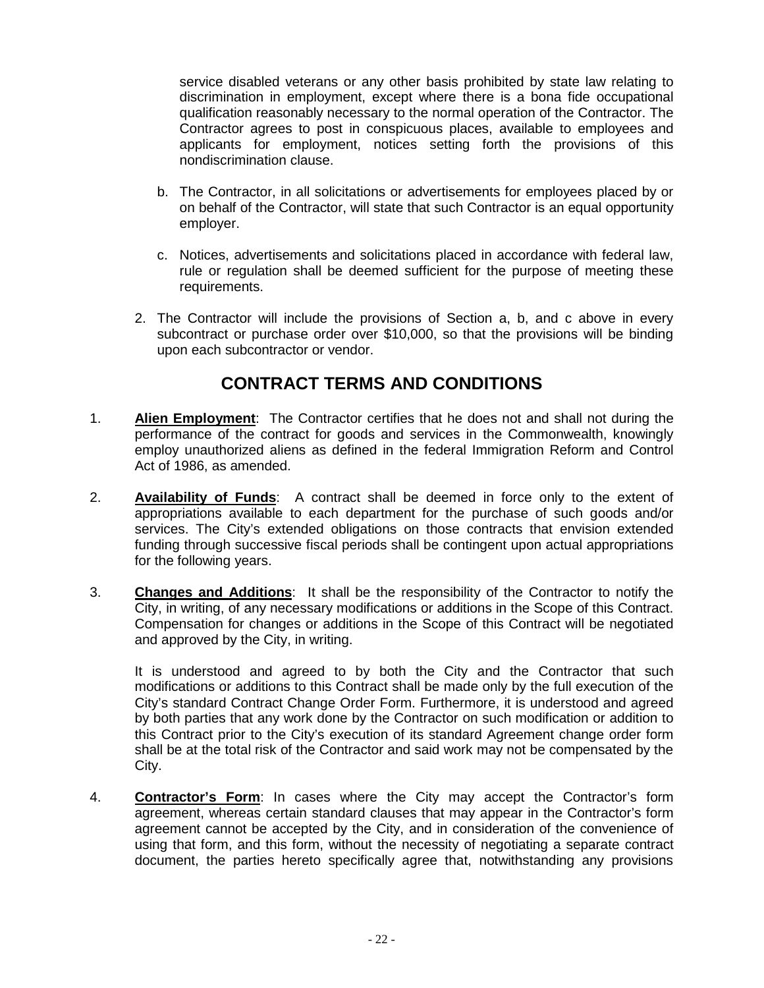service disabled veterans or any other basis prohibited by state law relating to discrimination in employment, except where there is a bona fide occupational qualification reasonably necessary to the normal operation of the Contractor. The Contractor agrees to post in conspicuous places, available to employees and applicants for employment, notices setting forth the provisions of this nondiscrimination clause.

- b. The Contractor, in all solicitations or advertisements for employees placed by or on behalf of the Contractor, will state that such Contractor is an equal opportunity employer.
- c. Notices, advertisements and solicitations placed in accordance with federal law, rule or regulation shall be deemed sufficient for the purpose of meeting these requirements.
- 2. The Contractor will include the provisions of Section a, b, and c above in every subcontract or purchase order over \$10,000, so that the provisions will be binding upon each subcontractor or vendor.

# **CONTRACT TERMS AND CONDITIONS**

- 1. **Alien Employment**: The Contractor certifies that he does not and shall not during the performance of the contract for goods and services in the Commonwealth, knowingly employ unauthorized aliens as defined in the federal Immigration Reform and Control Act of 1986, as amended.
- 2. **Availability of Funds**: A contract shall be deemed in force only to the extent of appropriations available to each department for the purchase of such goods and/or services. The City's extended obligations on those contracts that envision extended funding through successive fiscal periods shall be contingent upon actual appropriations for the following years.
- 3. **Changes and Additions**: It shall be the responsibility of the Contractor to notify the City, in writing, of any necessary modifications or additions in the Scope of this Contract. Compensation for changes or additions in the Scope of this Contract will be negotiated and approved by the City, in writing.

It is understood and agreed to by both the City and the Contractor that such modifications or additions to this Contract shall be made only by the full execution of the City's standard Contract Change Order Form. Furthermore, it is understood and agreed by both parties that any work done by the Contractor on such modification or addition to this Contract prior to the City's execution of its standard Agreement change order form shall be at the total risk of the Contractor and said work may not be compensated by the City.

4. **Contractor's Form**: In cases where the City may accept the Contractor's form agreement, whereas certain standard clauses that may appear in the Contractor's form agreement cannot be accepted by the City, and in consideration of the convenience of using that form, and this form, without the necessity of negotiating a separate contract document, the parties hereto specifically agree that, notwithstanding any provisions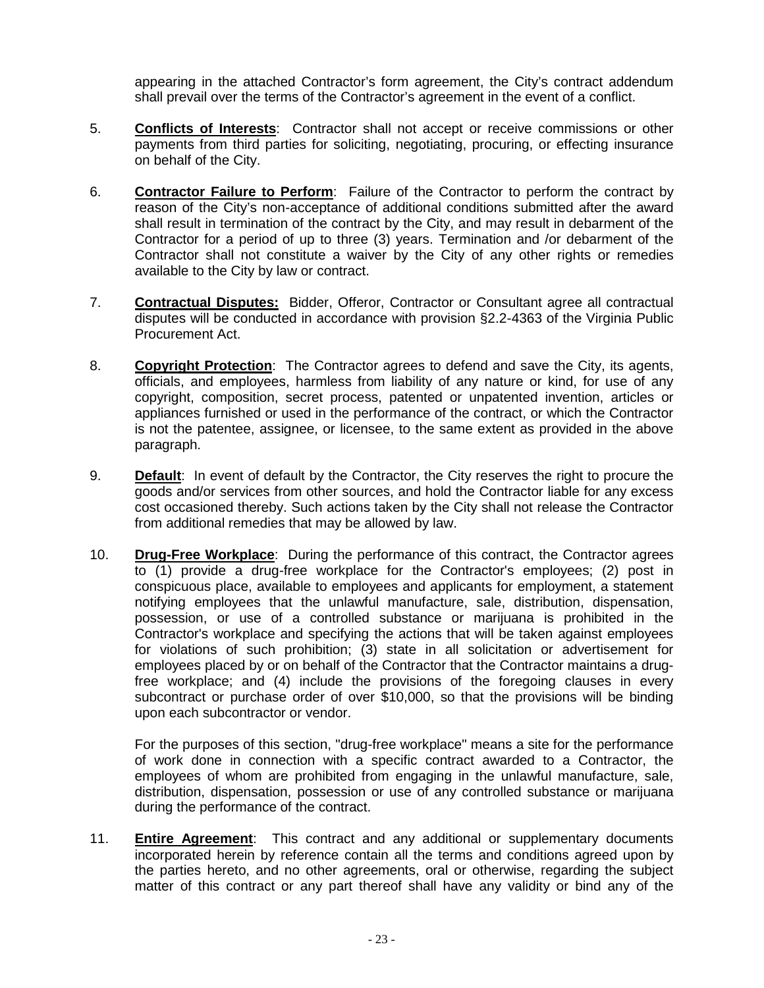appearing in the attached Contractor's form agreement, the City's contract addendum shall prevail over the terms of the Contractor's agreement in the event of a conflict.

- 5. **Conflicts of Interests**: Contractor shall not accept or receive commissions or other payments from third parties for soliciting, negotiating, procuring, or effecting insurance on behalf of the City.
- 6. **Contractor Failure to Perform**: Failure of the Contractor to perform the contract by reason of the City's non-acceptance of additional conditions submitted after the award shall result in termination of the contract by the City, and may result in debarment of the Contractor for a period of up to three (3) years. Termination and /or debarment of the Contractor shall not constitute a waiver by the City of any other rights or remedies available to the City by law or contract.
- 7. **Contractual Disputes:** Bidder, Offeror, Contractor or Consultant agree all contractual disputes will be conducted in accordance with provision §2.2-4363 of the Virginia Public Procurement Act.
- 8. **Copyright Protection**: The Contractor agrees to defend and save the City, its agents, officials, and employees, harmless from liability of any nature or kind, for use of any copyright, composition, secret process, patented or unpatented invention, articles or appliances furnished or used in the performance of the contract, or which the Contractor is not the patentee, assignee, or licensee, to the same extent as provided in the above paragraph.
- 9. **Default**: In event of default by the Contractor, the City reserves the right to procure the goods and/or services from other sources, and hold the Contractor liable for any excess cost occasioned thereby. Such actions taken by the City shall not release the Contractor from additional remedies that may be allowed by law.
- 10. **Drug-Free Workplace**: During the performance of this contract, the Contractor agrees to (1) provide a drug-free workplace for the Contractor's employees; (2) post in conspicuous place, available to employees and applicants for employment, a statement notifying employees that the unlawful manufacture, sale, distribution, dispensation, possession, or use of a controlled substance or marijuana is prohibited in the Contractor's workplace and specifying the actions that will be taken against employees for violations of such prohibition; (3) state in all solicitation or advertisement for employees placed by or on behalf of the Contractor that the Contractor maintains a drugfree workplace; and (4) include the provisions of the foregoing clauses in every subcontract or purchase order of over \$10,000, so that the provisions will be binding upon each subcontractor or vendor.

For the purposes of this section, "drug-free workplace" means a site for the performance of work done in connection with a specific contract awarded to a Contractor, the employees of whom are prohibited from engaging in the unlawful manufacture, sale, distribution, dispensation, possession or use of any controlled substance or marijuana during the performance of the contract.

11. **Entire Agreement**: This contract and any additional or supplementary documents incorporated herein by reference contain all the terms and conditions agreed upon by the parties hereto, and no other agreements, oral or otherwise, regarding the subject matter of this contract or any part thereof shall have any validity or bind any of the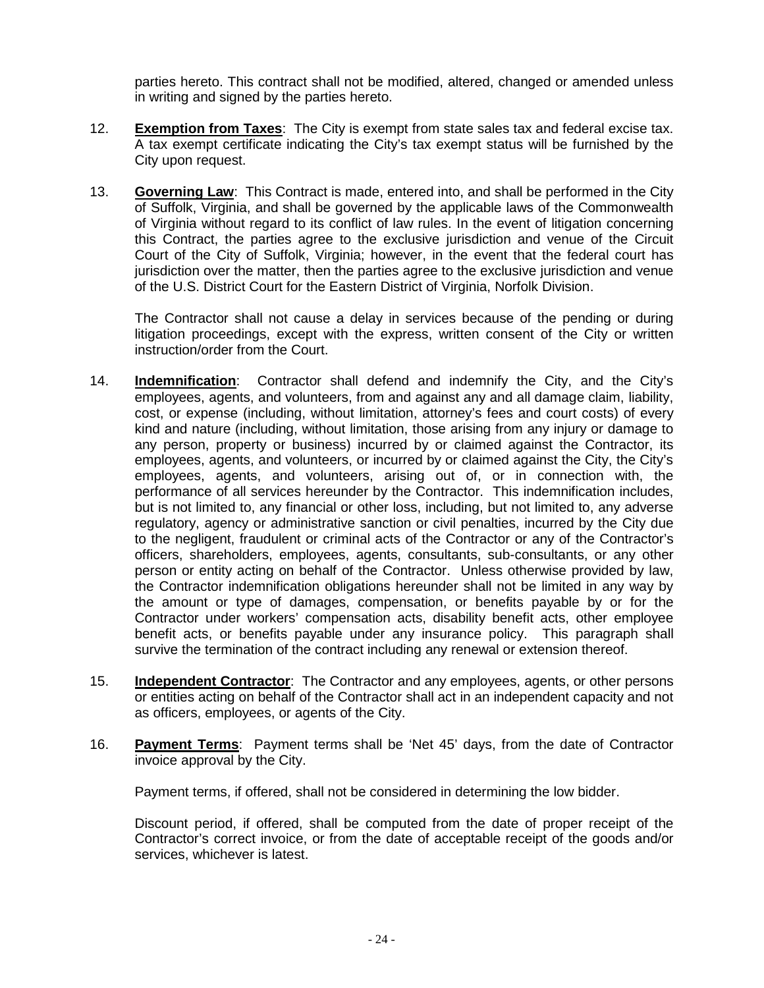parties hereto. This contract shall not be modified, altered, changed or amended unless in writing and signed by the parties hereto.

- 12. **Exemption from Taxes**: The City is exempt from state sales tax and federal excise tax. A tax exempt certificate indicating the City's tax exempt status will be furnished by the City upon request.
- 13. **Governing Law**: This Contract is made, entered into, and shall be performed in the City of Suffolk, Virginia, and shall be governed by the applicable laws of the Commonwealth of Virginia without regard to its conflict of law rules. In the event of litigation concerning this Contract, the parties agree to the exclusive jurisdiction and venue of the Circuit Court of the City of Suffolk, Virginia; however, in the event that the federal court has jurisdiction over the matter, then the parties agree to the exclusive jurisdiction and venue of the U.S. District Court for the Eastern District of Virginia, Norfolk Division.

The Contractor shall not cause a delay in services because of the pending or during litigation proceedings, except with the express, written consent of the City or written instruction/order from the Court.

- 14. **Indemnification**: Contractor shall defend and indemnify the City, and the City's employees, agents, and volunteers, from and against any and all damage claim, liability, cost, or expense (including, without limitation, attorney's fees and court costs) of every kind and nature (including, without limitation, those arising from any injury or damage to any person, property or business) incurred by or claimed against the Contractor, its employees, agents, and volunteers, or incurred by or claimed against the City, the City's employees, agents, and volunteers, arising out of, or in connection with, the performance of all services hereunder by the Contractor. This indemnification includes, but is not limited to, any financial or other loss, including, but not limited to, any adverse regulatory, agency or administrative sanction or civil penalties, incurred by the City due to the negligent, fraudulent or criminal acts of the Contractor or any of the Contractor's officers, shareholders, employees, agents, consultants, sub-consultants, or any other person or entity acting on behalf of the Contractor. Unless otherwise provided by law, the Contractor indemnification obligations hereunder shall not be limited in any way by the amount or type of damages, compensation, or benefits payable by or for the Contractor under workers' compensation acts, disability benefit acts, other employee benefit acts, or benefits payable under any insurance policy. This paragraph shall survive the termination of the contract including any renewal or extension thereof.
- 15. **Independent Contractor**: The Contractor and any employees, agents, or other persons or entities acting on behalf of the Contractor shall act in an independent capacity and not as officers, employees, or agents of the City.
- 16. **Payment Terms**: Payment terms shall be 'Net 45' days, from the date of Contractor invoice approval by the City.

Payment terms, if offered, shall not be considered in determining the low bidder.

Discount period, if offered, shall be computed from the date of proper receipt of the Contractor's correct invoice, or from the date of acceptable receipt of the goods and/or services, whichever is latest.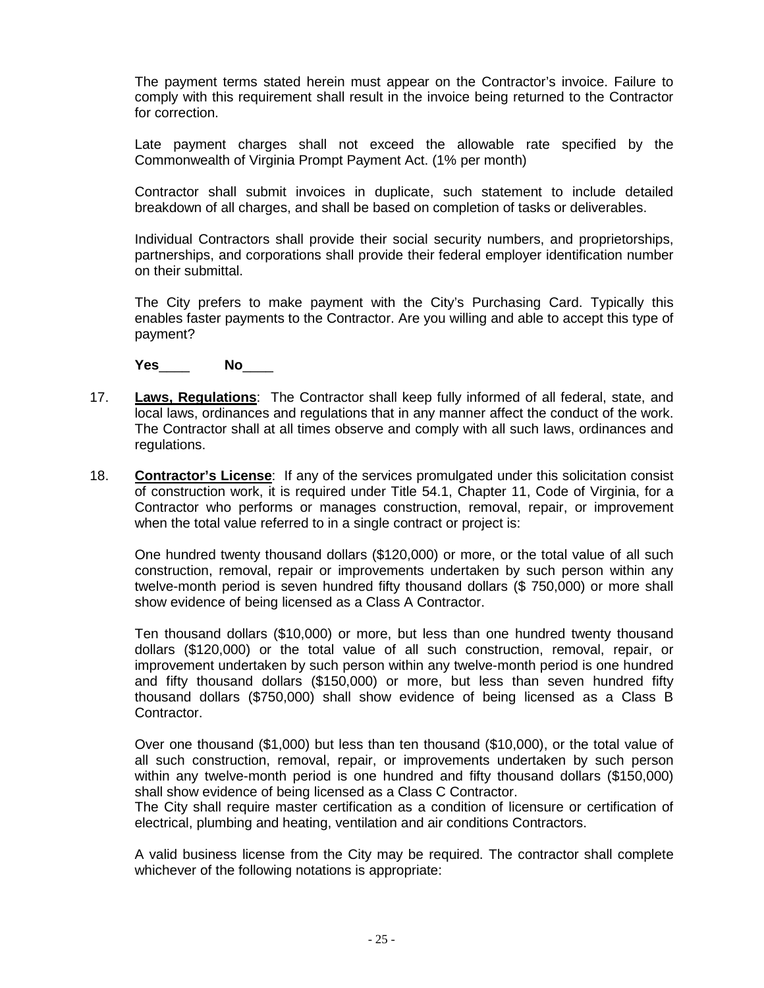The payment terms stated herein must appear on the Contractor's invoice. Failure to comply with this requirement shall result in the invoice being returned to the Contractor for correction.

Late payment charges shall not exceed the allowable rate specified by the Commonwealth of Virginia Prompt Payment Act. (1% per month)

Contractor shall submit invoices in duplicate, such statement to include detailed breakdown of all charges, and shall be based on completion of tasks or deliverables.

Individual Contractors shall provide their social security numbers, and proprietorships, partnerships, and corporations shall provide their federal employer identification number on their submittal.

The City prefers to make payment with the City's Purchasing Card. Typically this enables faster payments to the Contractor. Are you willing and able to accept this type of payment?

**Yes**\_\_\_\_ **No**\_\_\_\_

- 17. **Laws, Regulations**: The Contractor shall keep fully informed of all federal, state, and local laws, ordinances and regulations that in any manner affect the conduct of the work. The Contractor shall at all times observe and comply with all such laws, ordinances and regulations.
- 18. **Contractor's License**: If any of the services promulgated under this solicitation consist of construction work, it is required under Title 54.1, Chapter 11, Code of Virginia, for a Contractor who performs or manages construction, removal, repair, or improvement when the total value referred to in a single contract or project is:

One hundred twenty thousand dollars (\$120,000) or more, or the total value of all such construction, removal, repair or improvements undertaken by such person within any twelve-month period is seven hundred fifty thousand dollars (\$ 750,000) or more shall show evidence of being licensed as a Class A Contractor.

Ten thousand dollars (\$10,000) or more, but less than one hundred twenty thousand dollars (\$120,000) or the total value of all such construction, removal, repair, or improvement undertaken by such person within any twelve-month period is one hundred and fifty thousand dollars (\$150,000) or more, but less than seven hundred fifty thousand dollars (\$750,000) shall show evidence of being licensed as a Class B Contractor.

Over one thousand (\$1,000) but less than ten thousand (\$10,000), or the total value of all such construction, removal, repair, or improvements undertaken by such person within any twelve-month period is one hundred and fifty thousand dollars (\$150,000) shall show evidence of being licensed as a Class C Contractor.

The City shall require master certification as a condition of licensure or certification of electrical, plumbing and heating, ventilation and air conditions Contractors.

A valid business license from the City may be required. The contractor shall complete whichever of the following notations is appropriate: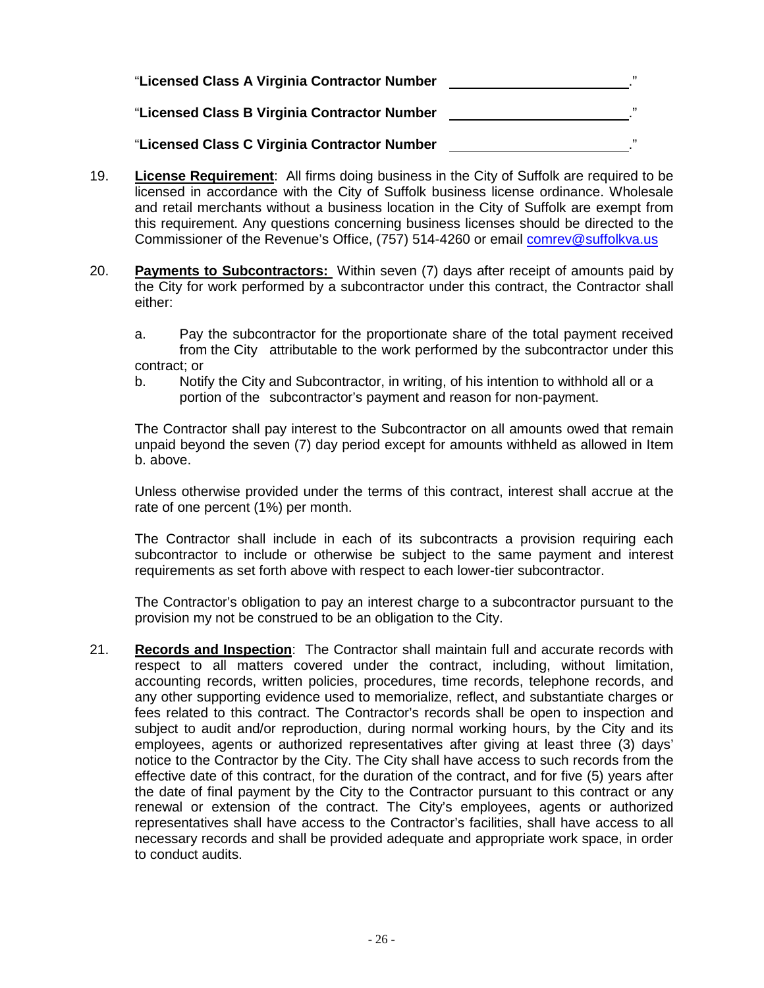| "Licensed Class A Virginia Contractor Number |    |
|----------------------------------------------|----|
| "Licensed Class B Virginia Contractor Number | ,, |
| "Licensed Class C Virginia Contractor Number |    |

- 19. **License Requirement**: All firms doing business in the City of Suffolk are required to be licensed in accordance with the City of Suffolk business license ordinance. Wholesale and retail merchants without a business location in the City of Suffolk are exempt from this requirement. Any questions concerning business licenses should be directed to the Commissioner of the Revenue's Office, (757) 514-4260 or email [comrev@suffolkva.us](mailto:comrev@suffolkva.us)
- 20. **Payments to Subcontractors:** Within seven (7) days after receipt of amounts paid by the City for work performed by a subcontractor under this contract, the Contractor shall either:

a. Pay the subcontractor for the proportionate share of the total payment received from the City attributable to the work performed by the subcontractor under this contract; or

b. Notify the City and Subcontractor, in writing, of his intention to withhold all or a portion of the subcontractor's payment and reason for non-payment.

The Contractor shall pay interest to the Subcontractor on all amounts owed that remain unpaid beyond the seven (7) day period except for amounts withheld as allowed in Item b. above.

Unless otherwise provided under the terms of this contract, interest shall accrue at the rate of one percent (1%) per month.

The Contractor shall include in each of its subcontracts a provision requiring each subcontractor to include or otherwise be subject to the same payment and interest requirements as set forth above with respect to each lower-tier subcontractor.

The Contractor's obligation to pay an interest charge to a subcontractor pursuant to the provision my not be construed to be an obligation to the City.

21. **Records and Inspection**: The Contractor shall maintain full and accurate records with respect to all matters covered under the contract, including, without limitation, accounting records, written policies, procedures, time records, telephone records, and any other supporting evidence used to memorialize, reflect, and substantiate charges or fees related to this contract. The Contractor's records shall be open to inspection and subject to audit and/or reproduction, during normal working hours, by the City and its employees, agents or authorized representatives after giving at least three (3) days' notice to the Contractor by the City. The City shall have access to such records from the effective date of this contract, for the duration of the contract, and for five (5) years after the date of final payment by the City to the Contractor pursuant to this contract or any renewal or extension of the contract. The City's employees, agents or authorized representatives shall have access to the Contractor's facilities, shall have access to all necessary records and shall be provided adequate and appropriate work space, in order to conduct audits.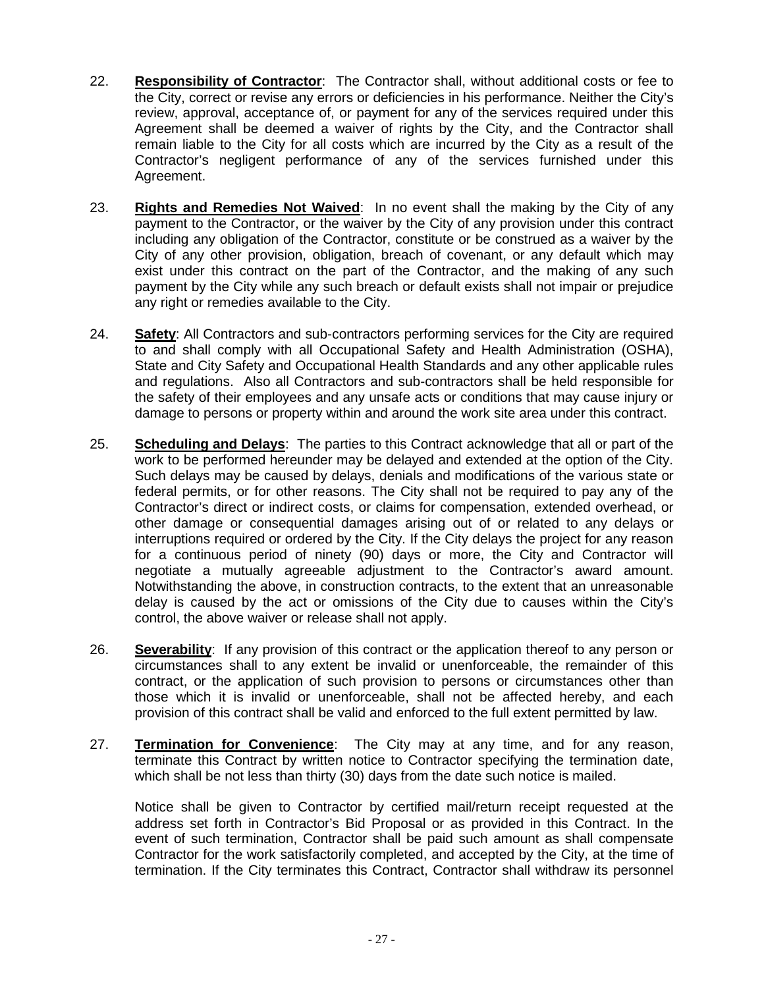- 22. **Responsibility of Contractor**: The Contractor shall, without additional costs or fee to the City, correct or revise any errors or deficiencies in his performance. Neither the City's review, approval, acceptance of, or payment for any of the services required under this Agreement shall be deemed a waiver of rights by the City, and the Contractor shall remain liable to the City for all costs which are incurred by the City as a result of the Contractor's negligent performance of any of the services furnished under this Agreement.
- 23. **Rights and Remedies Not Waived**: In no event shall the making by the City of any payment to the Contractor, or the waiver by the City of any provision under this contract including any obligation of the Contractor, constitute or be construed as a waiver by the City of any other provision, obligation, breach of covenant, or any default which may exist under this contract on the part of the Contractor, and the making of any such payment by the City while any such breach or default exists shall not impair or prejudice any right or remedies available to the City.
- 24. **Safety**: All Contractors and sub-contractors performing services for the City are required to and shall comply with all Occupational Safety and Health Administration (OSHA), State and City Safety and Occupational Health Standards and any other applicable rules and regulations. Also all Contractors and sub-contractors shall be held responsible for the safety of their employees and any unsafe acts or conditions that may cause injury or damage to persons or property within and around the work site area under this contract.
- 25. **Scheduling and Delays**: The parties to this Contract acknowledge that all or part of the work to be performed hereunder may be delayed and extended at the option of the City. Such delays may be caused by delays, denials and modifications of the various state or federal permits, or for other reasons. The City shall not be required to pay any of the Contractor's direct or indirect costs, or claims for compensation, extended overhead, or other damage or consequential damages arising out of or related to any delays or interruptions required or ordered by the City. If the City delays the project for any reason for a continuous period of ninety (90) days or more, the City and Contractor will negotiate a mutually agreeable adjustment to the Contractor's award amount. Notwithstanding the above, in construction contracts, to the extent that an unreasonable delay is caused by the act or omissions of the City due to causes within the City's control, the above waiver or release shall not apply.
- 26. **Severability**: If any provision of this contract or the application thereof to any person or circumstances shall to any extent be invalid or unenforceable, the remainder of this contract, or the application of such provision to persons or circumstances other than those which it is invalid or unenforceable, shall not be affected hereby, and each provision of this contract shall be valid and enforced to the full extent permitted by law.
- 27. **Termination for Convenience**: The City may at any time, and for any reason, terminate this Contract by written notice to Contractor specifying the termination date, which shall be not less than thirty (30) days from the date such notice is mailed.

Notice shall be given to Contractor by certified mail/return receipt requested at the address set forth in Contractor's Bid Proposal or as provided in this Contract. In the event of such termination, Contractor shall be paid such amount as shall compensate Contractor for the work satisfactorily completed, and accepted by the City, at the time of termination. If the City terminates this Contract, Contractor shall withdraw its personnel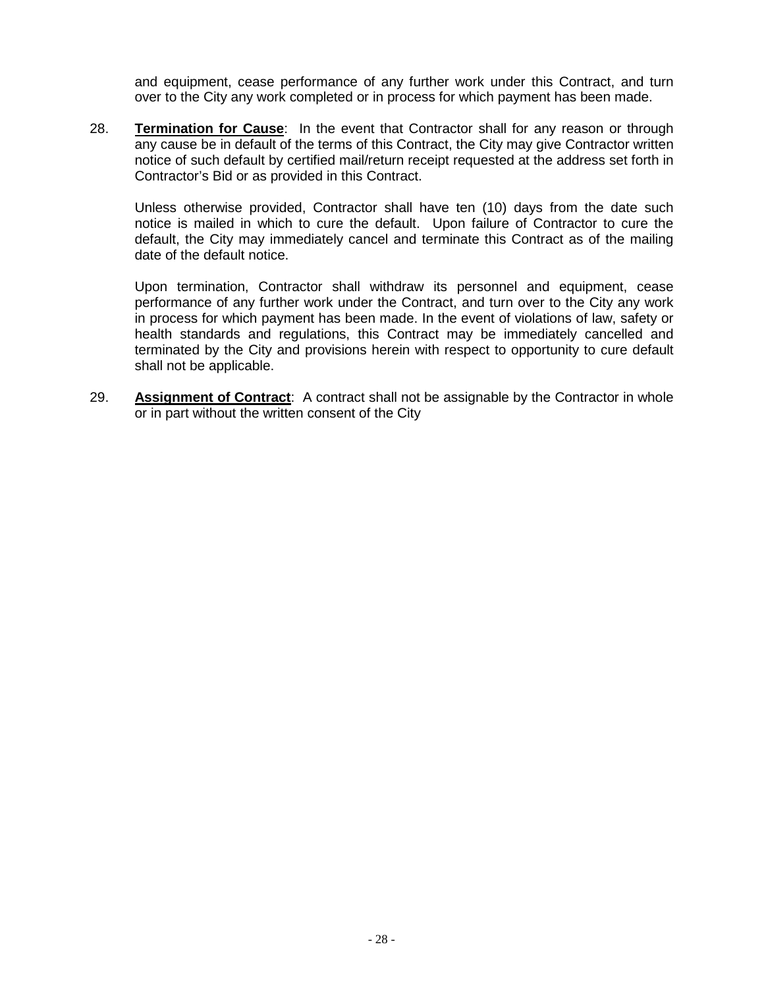and equipment, cease performance of any further work under this Contract, and turn over to the City any work completed or in process for which payment has been made.

28. **Termination for Cause**: In the event that Contractor shall for any reason or through any cause be in default of the terms of this Contract, the City may give Contractor written notice of such default by certified mail/return receipt requested at the address set forth in Contractor's Bid or as provided in this Contract.

Unless otherwise provided, Contractor shall have ten (10) days from the date such notice is mailed in which to cure the default. Upon failure of Contractor to cure the default, the City may immediately cancel and terminate this Contract as of the mailing date of the default notice.

Upon termination, Contractor shall withdraw its personnel and equipment, cease performance of any further work under the Contract, and turn over to the City any work in process for which payment has been made. In the event of violations of law, safety or health standards and regulations, this Contract may be immediately cancelled and terminated by the City and provisions herein with respect to opportunity to cure default shall not be applicable.

<span id="page-27-0"></span>29. **Assignment of Contract**: A contract shall not be assignable by the Contractor in whole or in part without the written consent of the City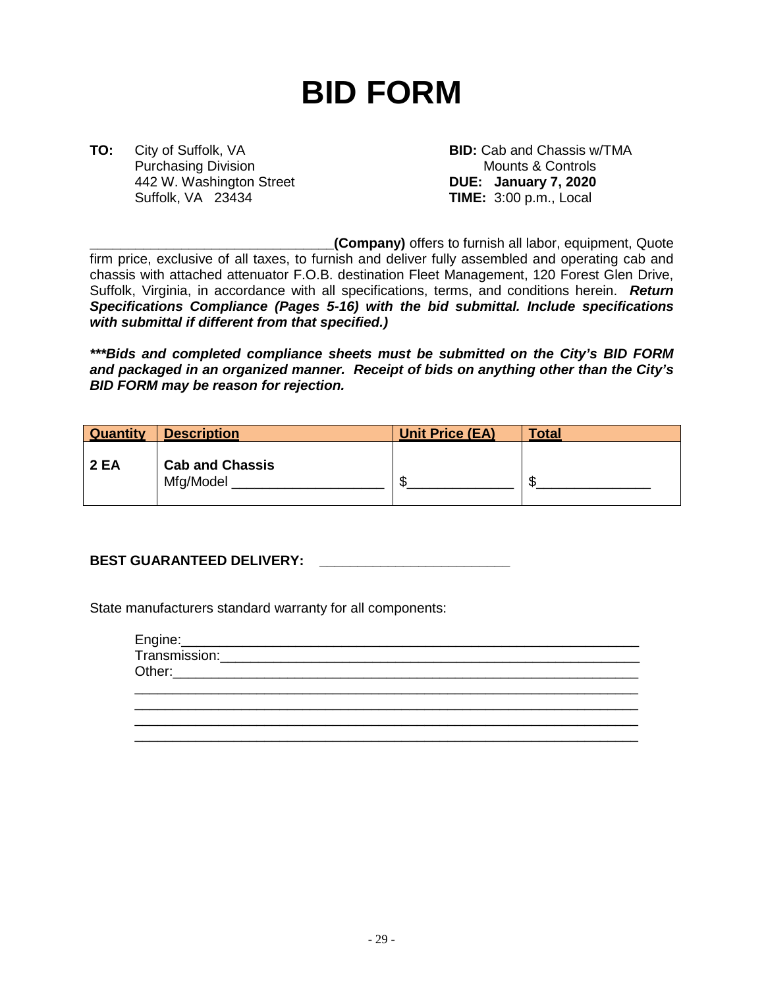# **BID FORM**

**TO:** City of Suffolk, VA **BID:** Cab and Chassis w/TMA **Purchasing Division BID:** Cab and Chassis w/TMA Purchasing Division Mounts & Controls<br>
442 W. Washington Street **DUE:** January 7, 2020 442 W. Washington Street<br>Suffolk, VA 23434

**TIME:** 3:00 p.m., Local

**\_\_\_\_\_\_\_\_\_\_\_\_\_\_\_\_\_\_\_\_\_\_\_\_\_\_\_\_\_\_\_\_(Company)** offers to furnish all labor, equipment, Quote firm price, exclusive of all taxes, to furnish and deliver fully assembled and operating cab and chassis with attached attenuator F.O.B. destination Fleet Management, 120 Forest Glen Drive, Suffolk, Virginia, in accordance with all specifications, terms, and conditions herein. *Return Specifications Compliance (Pages 5-16) with the bid submittal. Include specifications with submittal if different from that specified.)*

*\*\*\*Bids and completed compliance sheets must be submitted on the City's BID FORM and packaged in an organized manner. Receipt of bids on anything other than the City's BID FORM may be reason for rejection.* 

| <b>Quantity</b> | <b>Description</b>                  | Unit Price (EA) | <b>Total</b> |
|-----------------|-------------------------------------|-----------------|--------------|
| 2 EA            | <b>Cab and Chassis</b><br>Mfg/Model | œ               | œ            |

#### BEST GUARANTEED DELIVERY:

State manufacturers standard warranty for all components:

| Engine:_______________________________<br>Transmission:________________________                                 |  |  |
|-----------------------------------------------------------------------------------------------------------------|--|--|
| Other: when the contract of the contract of the contract of the contract of the contract of the contract of the |  |  |
|                                                                                                                 |  |  |
|                                                                                                                 |  |  |
|                                                                                                                 |  |  |
|                                                                                                                 |  |  |

<span id="page-28-0"></span>\_\_\_\_\_\_\_\_\_\_\_\_\_\_\_\_\_\_\_\_\_\_\_\_\_\_\_\_\_\_\_\_\_\_\_\_\_\_\_\_\_\_\_\_\_\_\_\_\_\_\_\_\_\_\_\_\_\_\_\_\_\_\_\_\_\_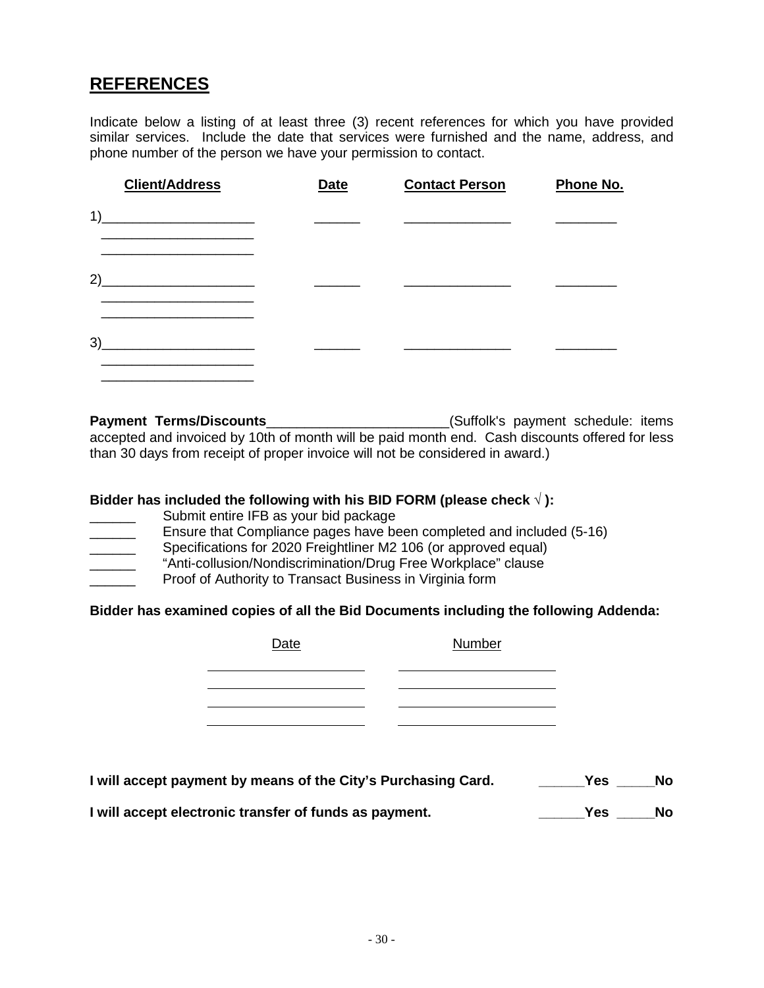# **REFERENCES**

Indicate below a listing of at least three (3) recent references for which you have provided similar services. Include the date that services were furnished and the name, address, and phone number of the person we have your permission to contact.

| <b>Client/Address</b>                                                                                                        | Date | <b>Contact Person</b> | Phone No. |
|------------------------------------------------------------------------------------------------------------------------------|------|-----------------------|-----------|
| 1)<br><u> 1989 - Johann Stein, mars an t-Amerikaansk ferskeider (</u>                                                        |      |                       |           |
| 2)<br><u> 1989 - Johann Barn, mars ann an t-Amhair ann an t-Amhair an t-Amhair an t-Amhair an t-Amhair an t-Amhair an t-</u> |      |                       |           |
| 3)<br><u> 1989 - Johann Barbara, martin d</u>                                                                                |      |                       |           |

**Payment Terms/Discounts**\_\_\_\_\_\_\_\_\_\_\_\_\_\_\_\_\_\_\_\_\_\_\_\_(Suffolk's payment schedule: items accepted and invoiced by 10th of month will be paid month end. Cash discounts offered for less than 30 days from receipt of proper invoice will not be considered in award.)

#### **Bidder has included the following with his BID FORM (please check √ ):**

- Submit entire IFB as your bid package
- Ensure that Compliance pages have been completed and included (5-16)
- **Example 3** Specifications for 2020 Freightliner M2 106 (or approved equal)
- "Anti-collusion/Nondiscrimination/Drug Free Workplace" clause
- Proof of Authority to Transact Business in Virginia form

#### **Bidder has examined copies of all the Bid Documents including the following Addenda:**

| <b>Date</b> | Number |
|-------------|--------|
|             |        |
|             |        |
|             |        |

| I will accept payment by means of the City's Purchasing Card. | Yes | <b>No</b> |
|---------------------------------------------------------------|-----|-----------|
|---------------------------------------------------------------|-----|-----------|

| I will accept electronic transfer of funds as payment. | Yes | No |
|--------------------------------------------------------|-----|----|
|                                                        |     |    |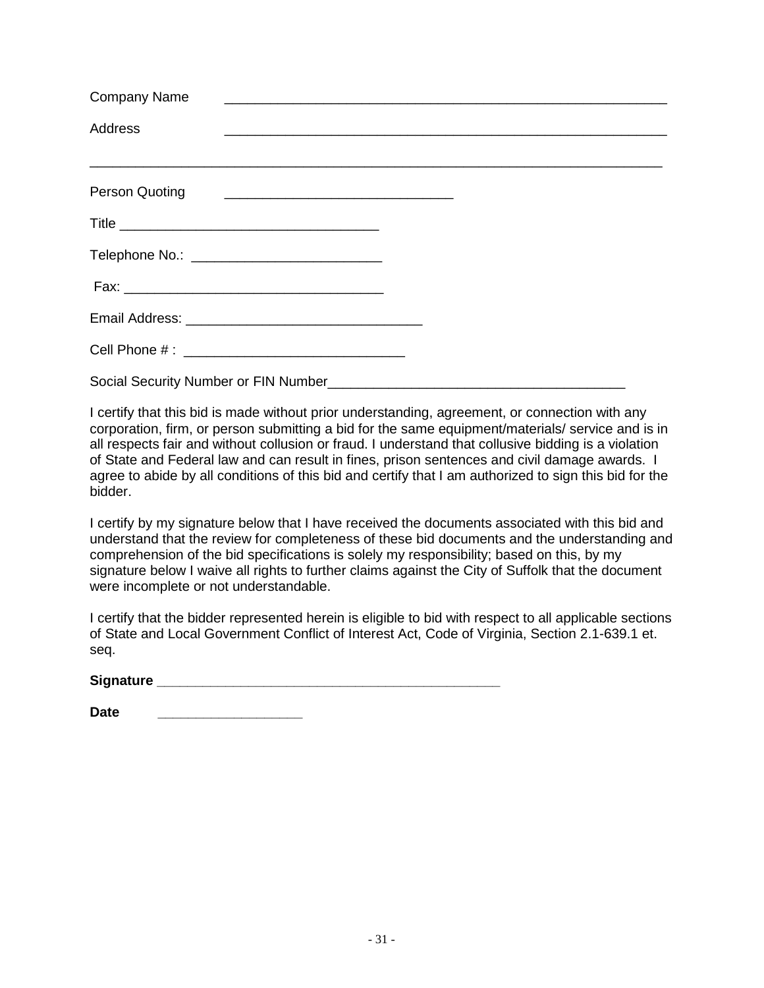| <b>Company Name</b>                           |  |
|-----------------------------------------------|--|
| Address                                       |  |
| Person Quoting                                |  |
|                                               |  |
| Telephone No.: ______________________________ |  |
|                                               |  |
|                                               |  |
|                                               |  |
|                                               |  |

I certify that this bid is made without prior understanding, agreement, or connection with any corporation, firm, or person submitting a bid for the same equipment/materials/ service and is in all respects fair and without collusion or fraud. I understand that collusive bidding is a violation of State and Federal law and can result in fines, prison sentences and civil damage awards. I agree to abide by all conditions of this bid and certify that I am authorized to sign this bid for the bidder.

I certify by my signature below that I have received the documents associated with this bid and understand that the review for completeness of these bid documents and the understanding and comprehension of the bid specifications is solely my responsibility; based on this, by my signature below I waive all rights to further claims against the City of Suffolk that the document were incomplete or not understandable.

I certify that the bidder represented herein is eligible to bid with respect to all applicable sections of State and Local Government Conflict of Interest Act, Code of Virginia, Section 2.1-639.1 et. seq.

**Signature Constanting and Constanting Signature Constanting and Constanting Signature Constanting Constanting Constanting Constanting Constanting Constanting Constanting Constanting Constanting Constanting Constanti** 

**Date \_\_\_\_\_\_\_\_\_\_\_\_\_\_\_\_\_\_\_**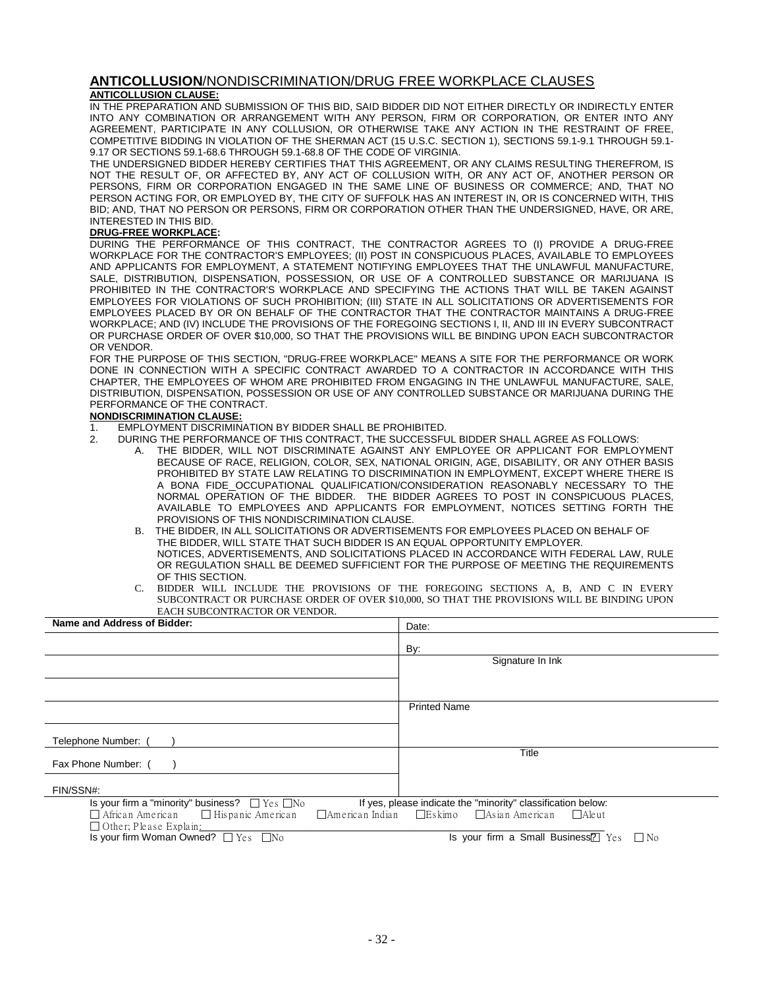#### <span id="page-31-0"></span>**ANTICOLLUSION**/NONDISCRIMINATION/DRUG FREE WORKPLACE CLAUSES **ANTICOLLUSION CLAUSE:**

IN THE PREPARATION AND SUBMISSION OF THIS BID, SAID BIDDER DID NOT EITHER DIRECTLY OR INDIRECTLY ENTER INTO ANY COMBINATION OR ARRANGEMENT WITH ANY PERSON, FIRM OR CORPORATION, OR ENTER INTO ANY AGREEMENT, PARTICIPATE IN ANY COLLUSION, OR OTHERWISE TAKE ANY ACTION IN THE RESTRAINT OF FREE, COMPETITIVE BIDDING IN VIOLATION OF THE SHERMAN ACT (15 U.S.C. SECTION 1), SECTIONS 59.1-9.1 THROUGH 59.1- 9.17 OR SECTIONS 59.1-68.6 THROUGH 59.1-68.8 OF THE CODE OF VIRGINIA.

THE UNDERSIGNED BIDDER HEREBY CERTIFIES THAT THIS AGREEMENT, OR ANY CLAIMS RESULTING THEREFROM, IS NOT THE RESULT OF, OR AFFECTED BY, ANY ACT OF COLLUSION WITH, OR ANY ACT OF, ANOTHER PERSON OR PERSONS, FIRM OR CORPORATION ENGAGED IN THE SAME LINE OF BUSINESS OR COMMERCE; AND, THAT NO PERSON ACTING FOR, OR EMPLOYED BY, THE CITY OF SUFFOLK HAS AN INTEREST IN, OR IS CONCERNED WITH, THIS BID; AND, THAT NO PERSON OR PERSONS, FIRM OR CORPORATION OTHER THAN THE UNDERSIGNED, HAVE, OR ARE, INTERESTED IN THIS BID.

#### **DRUG-FREE WORKPLACE:**

DURING THE PERFORMANCE OF THIS CONTRACT, THE CONTRACTOR AGREES TO (I) PROVIDE A DRUG-FREE WORKPLACE FOR THE CONTRACTOR'S EMPLOYEES; (II) POST IN CONSPICUOUS PLACES, AVAILABLE TO EMPLOYEES AND APPLICANTS FOR EMPLOYMENT, A STATEMENT NOTIFYING EMPLOYEES THAT THE UNLAWFUL MANUFACTURE, SALE, DISTRIBUTION, DISPENSATION, POSSESSION, OR USE OF A CONTROLLED SUBSTANCE OR MARIJUANA IS PROHIBITED IN THE CONTRACTOR'S WORKPLACE AND SPECIFYING THE ACTIONS THAT WILL BE TAKEN AGAINST EMPLOYEES FOR VIOLATIONS OF SUCH PROHIBITION; (III) STATE IN ALL SOLICITATIONS OR ADVERTISEMENTS FOR EMPLOYEES PLACED BY OR ON BEHALF OF THE CONTRACTOR THAT THE CONTRACTOR MAINTAINS A DRUG-FREE WORKPLACE; AND (IV) INCLUDE THE PROVISIONS OF THE FOREGOING SECTIONS I, II, AND III IN EVERY SUBCONTRACT OR PURCHASE ORDER OF OVER \$10,000, SO THAT THE PROVISIONS WILL BE BINDING UPON EACH SUBCONTRACTOR OR VENDOR.

FOR THE PURPOSE OF THIS SECTION, "DRUG-FREE WORKPLACE" MEANS A SITE FOR THE PERFORMANCE OR WORK DONE IN CONNECTION WITH A SPECIFIC CONTRACT AWARDED TO A CONTRACTOR IN ACCORDANCE WITH THIS CHAPTER, THE EMPLOYEES OF WHOM ARE PROHIBITED FROM ENGAGING IN THE UNLAWFUL MANUFACTURE, SALE, DISTRIBUTION, DISPENSATION, POSSESSION OR USE OF ANY CONTROLLED SUBSTANCE OR MARIJUANA DURING THE PERFORMANCE OF THE CONTRACT.

#### **NONDISCRIMINATION CLAUSE:**

- 1. EMPLOYMENT DISCRIMINATION BY BIDDER SHALL BE PROHIBITED.<br>2. DURING THE PERFORMANCE OF THIS CONTRACT. THE SUCCESSFU
- 2. DURING THE PERFORMANCE OF THIS CONTRACT, THE SUCCESSFUL BIDDER SHALL AGREE AS FOLLOWS:
	- A. THE BIDDER, WILL NOT DISCRIMINATE AGAINST ANY EMPLOYEE OR APPLICANT FOR EMPLOYMENT BECAUSE OF RACE, RELIGION, COLOR, SEX, NATIONAL ORIGIN, AGE, DISABILITY, OR ANY OTHER BASIS PROHIBITED BY STATE LAW RELATING TO DISCRIMINATION IN EMPLOYMENT, EXCEPT WHERE THERE IS A BONA FIDE OCCUPATIONAL QUALIFICATION/CONSIDERATION REASONABLY NECESSARY TO THE NORMAL OPERATION OF THE BIDDER. THE BIDDER AGREES TO POST IN CONSPICUOUS PLACES, AVAILABLE TO EMPLOYEES AND APPLICANTS FOR EMPLOYMENT, NOTICES SETTING FORTH THE PROVISIONS OF THIS NONDISCRIMINATION CLAUSE.
	- B. THE BIDDER, IN ALL SOLICITATIONS OR ADVERTISEMENTS FOR EMPLOYEES PLACED ON BEHALF OF THE BIDDER, WILL STATE THAT SUCH BIDDER IS AN EQUAL OPPORTUNITY EMPLOYER. NOTICES, ADVERTISEMENTS, AND SOLICITATIONS PLACED IN ACCORDANCE WITH FEDERAL LAW, RULE OR REGULATION SHALL BE DEEMED SUFFICIENT FOR THE PURPOSE OF MEETING THE REQUIREMENTS OF THIS SECTION.
	- C. BIDDER WILL INCLUDE THE PROVISIONS OF THE FOREGOING SECTIONS A, B, AND C IN EVERY SUBCONTRACT OR PURCHASE ORDER OF OVER \$10,000, SO THAT THE PROVISIONS WILL BE BINDING UPON EACH SUBCONTRACTOR OR VENDOR.

| Name and Address of Bidder:                              | Date:                                                                       |
|----------------------------------------------------------|-----------------------------------------------------------------------------|
|                                                          | By:                                                                         |
|                                                          | Signature In Ink                                                            |
|                                                          |                                                                             |
|                                                          | <b>Printed Name</b>                                                         |
| Telephone Number: (                                      |                                                                             |
| Fax Phone Number: (                                      | Title                                                                       |
| FIN/SSN#:                                                |                                                                             |
| Is your firm a "minority" business? $\Box$ Yes $\Box$ No | If yes, please indicate the "minority" classification below:                |
| $\Box$ African American $\Box$ Hispanic American         | $\Box$ American Indian $\Box$ Eskimo $\Box$ Asian American<br>$\Box$ Ale ut |
| $\Box$ Other; Please Explain:                            |                                                                             |
| Is your firm Woman Owned? $\Box$ Yes $\Box$ No           | Is your firm a Small Business <sup>[2]</sup> Yes □ No                       |
|                                                          |                                                                             |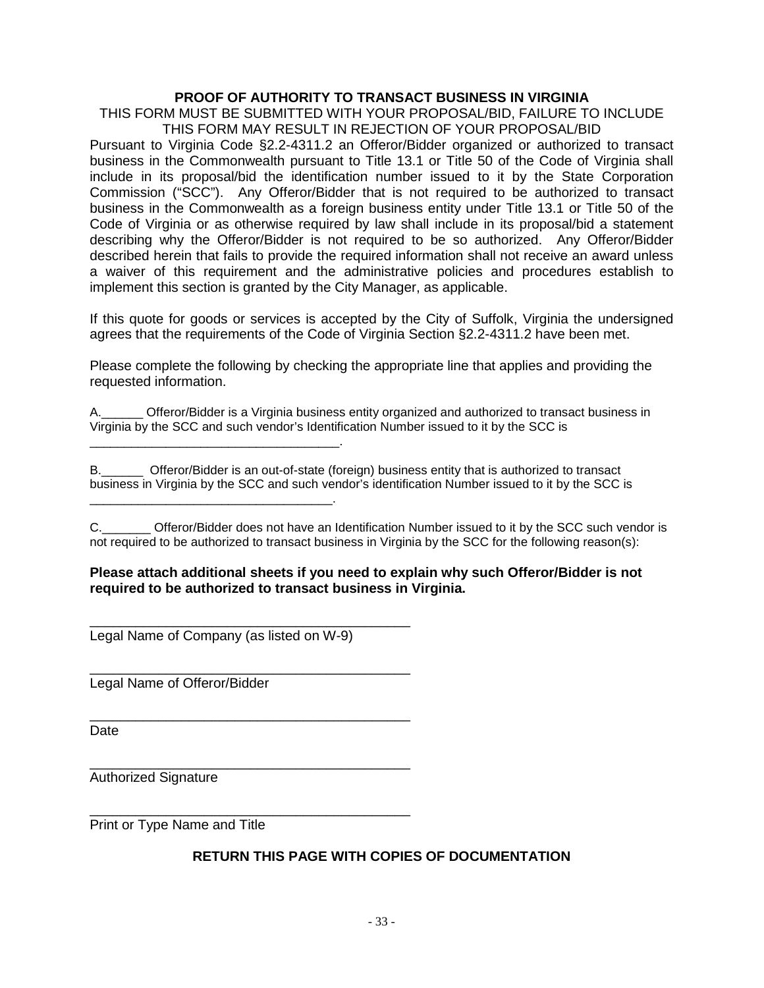#### **PROOF OF AUTHORITY TO TRANSACT BUSINESS IN VIRGINIA**

#### <span id="page-32-0"></span>THIS FORM MUST BE SUBMITTED WITH YOUR PROPOSAL/BID, FAILURE TO INCLUDE THIS FORM MAY RESULT IN REJECTION OF YOUR PROPOSAL/BID

Pursuant to Virginia Code §2.2-4311.2 an Offeror/Bidder organized or authorized to transact business in the Commonwealth pursuant to Title 13.1 or Title 50 of the Code of Virginia shall include in its proposal/bid the identification number issued to it by the State Corporation Commission ("SCC"). Any Offeror/Bidder that is not required to be authorized to transact business in the Commonwealth as a foreign business entity under Title 13.1 or Title 50 of the Code of Virginia or as otherwise required by law shall include in its proposal/bid a statement describing why the Offeror/Bidder is not required to be so authorized. Any Offeror/Bidder described herein that fails to provide the required information shall not receive an award unless a waiver of this requirement and the administrative policies and procedures establish to implement this section is granted by the City Manager, as applicable.

If this quote for goods or services is accepted by the City of Suffolk, Virginia the undersigned agrees that the requirements of the Code of Virginia Section §2.2-4311.2 have been met.

Please complete the following by checking the appropriate line that applies and providing the requested information.

Offeror/Bidder is a Virginia business entity organized and authorized to transact business in Virginia by the SCC and such vendor's Identification Number issued to it by the SCC is

B.\_\_\_\_\_\_ Offeror/Bidder is an out-of-state (foreign) business entity that is authorized to transact business in Virginia by the SCC and such vendor's identification Number issued to it by the SCC is

C. C. Citeror/Bidder does not have an Identification Number issued to it by the SCC such vendor is not required to be authorized to transact business in Virginia by the SCC for the following reason(s):

#### **Please attach additional sheets if you need to explain why such Offeror/Bidder is not required to be authorized to transact business in Virginia.**

\_\_\_\_\_\_\_\_\_\_\_\_\_\_\_\_\_\_\_\_\_\_\_\_\_\_\_\_\_\_\_\_\_\_\_\_\_\_\_\_\_\_ Legal Name of Company (as listed on W-9)

\_\_\_\_\_\_\_\_\_\_\_\_\_\_\_\_\_\_\_\_\_\_\_\_\_\_\_\_\_\_\_\_\_\_\_\_\_\_\_\_\_\_

\_\_\_\_\_\_\_\_\_\_\_\_\_\_\_\_\_\_\_\_\_\_\_\_\_\_\_\_\_\_\_\_\_\_\_\_\_\_\_\_\_\_

\_\_\_\_\_\_\_\_\_\_\_\_\_\_\_\_\_\_\_\_\_\_\_\_\_\_\_\_\_\_\_\_\_\_\_\_.

\_\_\_\_\_\_\_\_\_\_\_\_\_\_\_\_\_\_\_\_\_\_\_\_\_\_\_\_\_\_\_\_\_\_\_.

Legal Name of Offeror/Bidder

Date

\_\_\_\_\_\_\_\_\_\_\_\_\_\_\_\_\_\_\_\_\_\_\_\_\_\_\_\_\_\_\_\_\_\_\_\_\_\_\_\_\_\_ Authorized Signature

\_\_\_\_\_\_\_\_\_\_\_\_\_\_\_\_\_\_\_\_\_\_\_\_\_\_\_\_\_\_\_\_\_\_\_\_\_\_\_\_\_\_ Print or Type Name and Title

#### **RETURN THIS PAGE WITH COPIES OF DOCUMENTATION**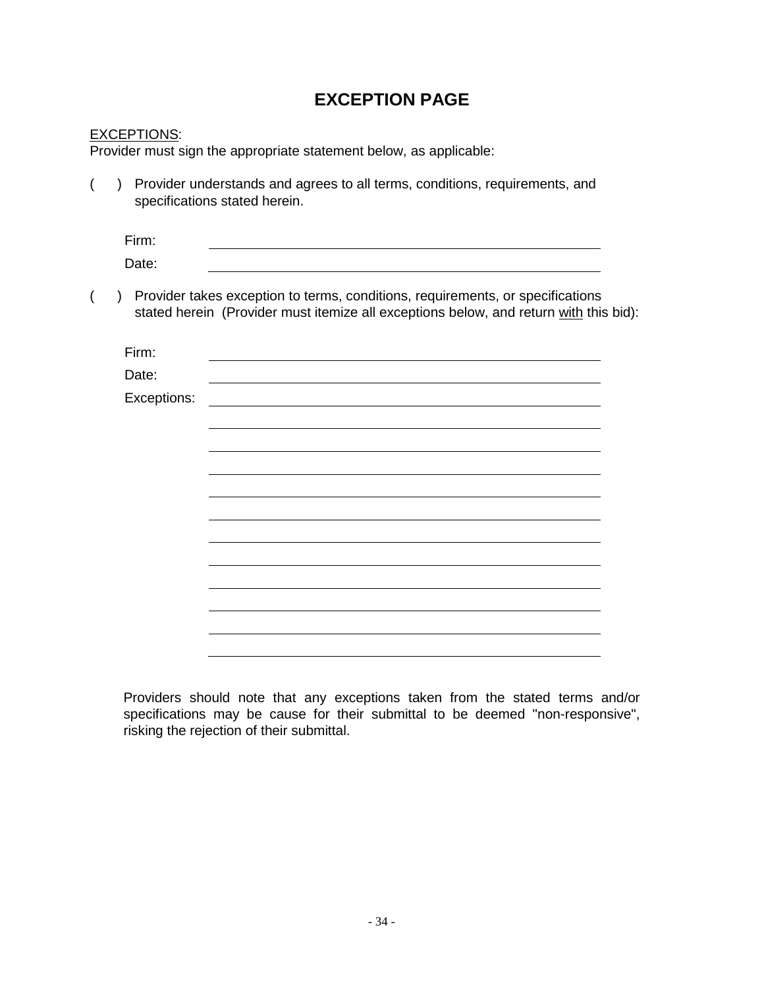# **EXCEPTION PAGE**

#### <span id="page-33-0"></span>EXCEPTIONS:

Provider must sign the appropriate statement below, as applicable:

( ) Provider understands and agrees to all terms, conditions, requirements, and specifications stated herein.

| Firm: |  |  |
|-------|--|--|
| Date: |  |  |

( ) Provider takes exception to terms, conditions, requirements, or specifications stated herein (Provider must itemize all exceptions below, and return with this bid):

| Firm:       |                                                                                                                 |
|-------------|-----------------------------------------------------------------------------------------------------------------|
| Date:       |                                                                                                                 |
| Exceptions: | the contract of the contract of the contract of the contract of the contract of the contract of the contract of |
|             |                                                                                                                 |
|             |                                                                                                                 |
|             |                                                                                                                 |
|             |                                                                                                                 |
|             |                                                                                                                 |
|             |                                                                                                                 |
|             |                                                                                                                 |
|             |                                                                                                                 |
|             |                                                                                                                 |
|             |                                                                                                                 |
|             |                                                                                                                 |
|             |                                                                                                                 |

<span id="page-33-1"></span>Providers should note that any exceptions taken from the stated terms and/or specifications may be cause for their submittal to be deemed "non-responsive", risking the rejection of their submittal.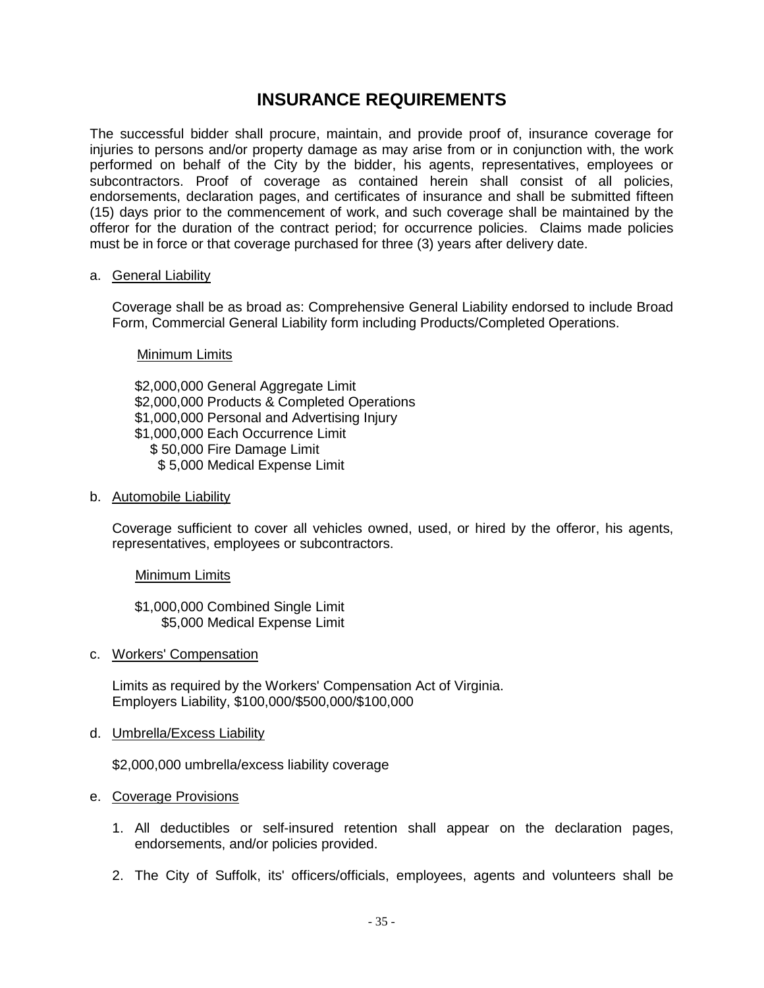## **INSURANCE REQUIREMENTS**

The successful bidder shall procure, maintain, and provide proof of, insurance coverage for injuries to persons and/or property damage as may arise from or in conjunction with, the work performed on behalf of the City by the bidder, his agents, representatives, employees or subcontractors. Proof of coverage as contained herein shall consist of all policies, endorsements, declaration pages, and certificates of insurance and shall be submitted fifteen (15) days prior to the commencement of work, and such coverage shall be maintained by the offeror for the duration of the contract period; for occurrence policies. Claims made policies must be in force or that coverage purchased for three (3) years after delivery date.

#### a. General Liability

Coverage shall be as broad as: Comprehensive General Liability endorsed to include Broad Form, Commercial General Liability form including Products/Completed Operations.

Minimum Limits

\$2,000,000 General Aggregate Limit \$2,000,000 Products & Completed Operations \$1,000,000 Personal and Advertising Injury \$1,000,000 Each Occurrence Limit \$ 50,000 Fire Damage Limit \$ 5,000 Medical Expense Limit

b. Automobile Liability

Coverage sufficient to cover all vehicles owned, used, or hired by the offeror, his agents, representatives, employees or subcontractors.

Minimum Limits

\$1,000,000 Combined Single Limit \$5,000 Medical Expense Limit

c. Workers' Compensation

Limits as required by the Workers' Compensation Act of Virginia. Employers Liability, \$100,000/\$500,000/\$100,000

d. Umbrella/Excess Liability

\$2,000,000 umbrella/excess liability coverage

- e. Coverage Provisions
	- 1. All deductibles or self-insured retention shall appear on the declaration pages, endorsements, and/or policies provided.
	- 2. The City of Suffolk, its' officers/officials, employees, agents and volunteers shall be